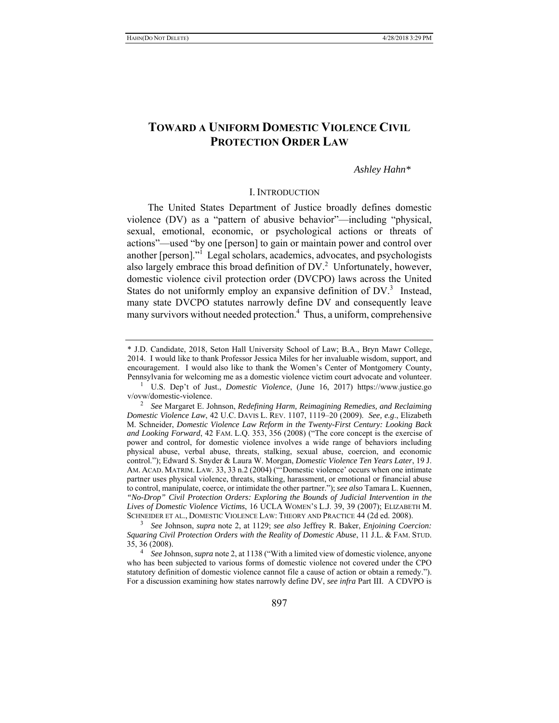# **TOWARD A UNIFORM DOMESTIC VIOLENCE CIVIL PROTECTION ORDER LAW**

# *Ashley Hahn\**

### I. INTRODUCTION

The United States Department of Justice broadly defines domestic violence (DV) as a "pattern of abusive behavior"—including "physical, sexual, emotional, economic, or psychological actions or threats of actions"—used "by one [person] to gain or maintain power and control over another [person]."<sup>1</sup> Legal scholars, academics, advocates, and psychologists also largely embrace this broad definition of  $DV^2$  Unfortunately, however, domestic violence civil protection order (DVCPO) laws across the United States do not uniformly employ an expansive definition of  $DV^3$  Instead, many state DVCPO statutes narrowly define DV and consequently leave many survivors without needed protection.<sup>4</sup> Thus, a uniform, comprehensive

<sup>\*</sup> J.D. Candidate, 2018, Seton Hall University School of Law; B.A., Bryn Mawr College, 2014. I would like to thank Professor Jessica Miles for her invaluable wisdom, support, and encouragement. I would also like to thank the Women's Center of Montgomery County, Pennsylvania for welcoming me as a domestic violence victim court advocate and volunteer. 1

U.S. Dep't of Just., *Domestic Violence*, (June 16, 2017) https://www.justice.go v/ovw/domestic-violence. 2

*See* Margaret E. Johnson, *Redefining Harm, Reimagining Remedies, and Reclaiming Domestic Violence Law*, 42 U.C. DAVIS L. REV. 1107, 1119–20 (2009). *See, e.g*., Elizabeth M. Schneider, *Domestic Violence Law Reform in the Twenty-First Century: Looking Back and Looking Forward*, 42 FAM. L.Q. 353, 356 (2008) ("The core concept is the exercise of power and control, for domestic violence involves a wide range of behaviors including physical abuse, verbal abuse, threats, stalking, sexual abuse, coercion, and economic control."); Edward S. Snyder & Laura W. Morgan, *Domestic Violence Ten Years Later*, 19 J. AM. ACAD. MATRIM. LAW. 33, 33 n.2 (2004) ("'Domestic violence' occurs when one intimate partner uses physical violence, threats, stalking, harassment, or emotional or financial abuse to control, manipulate, coerce, or intimidate the other partner."); *see also* Tamara L. Kuennen, *"No-Drop" Civil Protection Orders: Exploring the Bounds of Judicial Intervention in the Lives of Domestic Violence Victims*, 16 UCLA WOMEN'S L.J. 39, 39 (2007); ELIZABETH M. SCHNEIDER ET AL., DOMESTIC VIOLENCE LAW: THEORY AND PRACTICE 44 (2d ed. 2008).

<sup>3</sup> *See* Johnson, *supra* note 2, at 1129; *see also* Jeffrey R. Baker, *Enjoining Coercion: Squaring Civil Protection Orders with the Reality of Domestic Abuse*, 11 J.L. & FAM. STUD. 35, 36 (2008). 4

<sup>&</sup>lt;sup>4</sup> *See* Johnson, *supra* note 2, at 1138 ("With a limited view of domestic violence, anyone who has been subjected to various forms of domestic violence not covered under the CPO statutory definition of domestic violence cannot file a cause of action or obtain a remedy."). For a discussion examining how states narrowly define DV, *see infra* Part III. A CDVPO is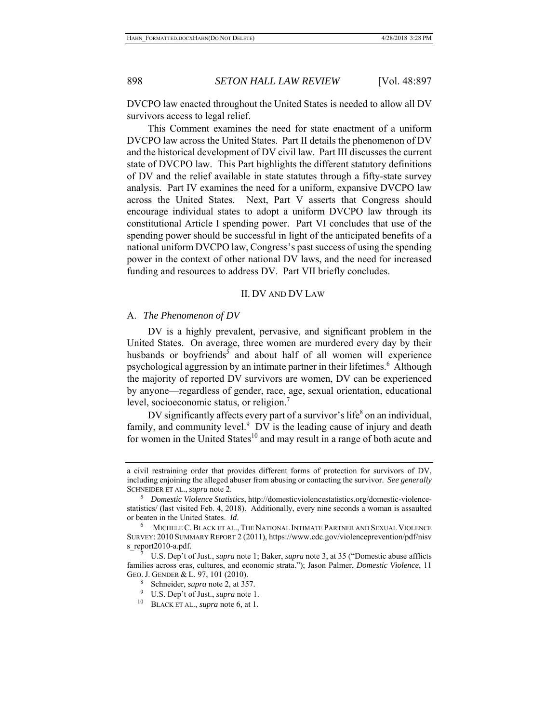DVCPO law enacted throughout the United States is needed to allow all DV survivors access to legal relief.

This Comment examines the need for state enactment of a uniform DVCPO law across the United States. Part II details the phenomenon of DV and the historical development of DV civil law. Part III discusses the current state of DVCPO law. This Part highlights the different statutory definitions of DV and the relief available in state statutes through a fifty-state survey analysis. Part IV examines the need for a uniform, expansive DVCPO law across the United States. Next, Part V asserts that Congress should encourage individual states to adopt a uniform DVCPO law through its constitutional Article I spending power. Part VI concludes that use of the spending power should be successful in light of the anticipated benefits of a national uniform DVCPO law, Congress's past success of using the spending power in the context of other national DV laws, and the need for increased funding and resources to address DV. Part VII briefly concludes.

### II. DV AND DV LAW

# A. *The Phenomenon of DV*

DV is a highly prevalent, pervasive, and significant problem in the United States. On average, three women are murdered every day by their husbands or boyfriends<sup>5</sup> and about half of all women will experience psychological aggression by an intimate partner in their lifetimes.<sup>6</sup> Although the majority of reported DV survivors are women, DV can be experienced by anyone—regardless of gender, race, age, sexual orientation, educational level, socioeconomic status, or religion.<sup>7</sup>

DV significantly affects every part of a survivor's life<sup>8</sup> on an individual, family, and community level. $9$  DV is the leading cause of injury and death for women in the United States $10$  and may result in a range of both acute and

a civil restraining order that provides different forms of protection for survivors of DV, including enjoining the alleged abuser from abusing or contacting the survivor. *See generally*  SCHNEIDER ET AL., *supra* note 2.

*Domestic Violence Statistics*, http://domesticviolencestatistics.org/domestic-violencestatistics/ (last visited Feb. 4, 2018). Additionally, every nine seconds a woman is assaulted or beaten in the United States. *Id*.<br><sup>6</sup> MICUELE C BLACKET AL

MICHELE C. BLACK ET AL., THE NATIONAL INTIMATE PARTNER AND SEXUAL VIOLENCE SURVEY: 2010 SUMMARY REPORT 2 (2011), https://www.cdc.gov/violenceprevention/pdf/nisv s\_report2010-a.pdf.

U.S. Dep't of Just., *supra* note 1; Baker, *supra* note 3, at 35 ("Domestic abuse afflicts families across eras, cultures, and economic strata."); Jason Palmer, *Domestic Violence*, 11 GEO. J. GENDER & L. 97, 101 (2010).

<sup>8</sup> Schneider, *supra* note 2, at 357.

<sup>9</sup> U.S. Dep't of Just., *supra* note 1.

<sup>10</sup> BLACK ET AL., *supra* note 6, at 1.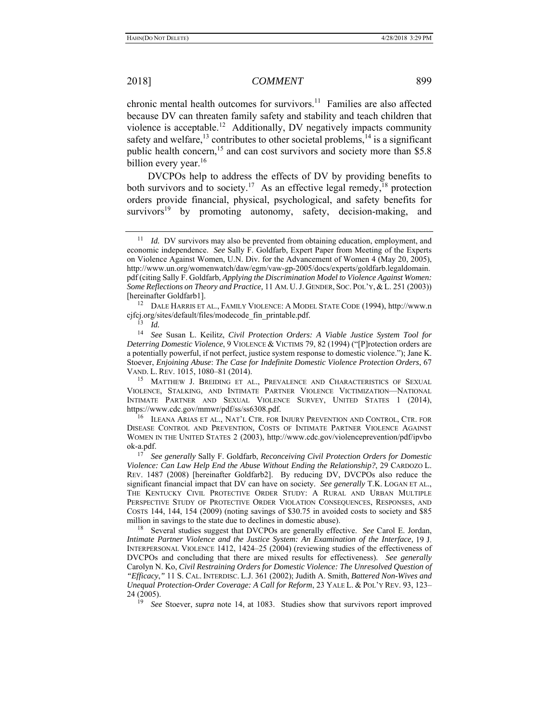chronic mental health outcomes for survivors.<sup>11</sup> Families are also affected because DV can threaten family safety and stability and teach children that violence is acceptable.<sup>12</sup> Additionally, DV negatively impacts community safety and welfare,<sup>13</sup> contributes to other societal problems,<sup>14</sup> is a significant public health concern,<sup>15</sup> and can cost survivors and society more than \$5.8 billion every year.<sup>16</sup>

DVCPOs help to address the effects of DV by providing benefits to both survivors and to society.<sup>17</sup> As an effective legal remedy, <sup>18</sup> protection orders provide financial, physical, psychological, and safety benefits for survivors $19$  by promoting autonomy, safety, decision-making, and

13 *Id.* 

14 *See* Susan L. Keilitz, *Civil Protection Orders: A Viable Justice System Tool for Deterring Domestic Violence*, 9 VIOLENCE & VICTIMS 79, 82 (1994) ("[P]rotection orders are a potentially powerful, if not perfect, justice system response to domestic violence."); Jane K. Stoever, *Enjoining Abuse*: *The Case for Indefinite Domestic Violence Protection Orders*, 67 VAND. L. REV. 1015, 1080–81 (2014).

<sup>15</sup> MATTHEW J. BREIDING ET AL., PREVALENCE AND CHARACTERISTICS OF SEXUAL VIOLENCE, STALKING, AND INTIMATE PARTNER VIOLENCE VICTIMIZATION—NATIONAL INTIMATE PARTNER AND SEXUAL VIOLENCE SURVEY, UNITED STATES 1 (2014), https://www.cdc.gov/mmwr/pdf/ss/ss6308.pdf.

<sup>16</sup> ILEANA ARIAS ET AL., NAT'L CTR. FOR INJURY PREVENTION AND CONTROL, CTR. FOR DISEASE CONTROL AND PREVENTION, COSTS OF INTIMATE PARTNER VIOLENCE AGAINST WOMEN IN THE UNITED STATES 2 (2003), http://www.cdc.gov/violenceprevention/pdf/ipvbo ok-a.pdf.

17 *See generally* Sally F. Goldfarb, *Reconceiving Civil Protection Orders for Domestic Violence: Can Law Help End the Abuse Without Ending the Relationship?*, 29 CARDOZO L. REV. 1487 (2008) [hereinafter Goldfarb2]. By reducing DV, DVCPOs also reduce the significant financial impact that DV can have on society. *See generally* T.K. LOGAN ET AL., THE KENTUCKY CIVIL PROTECTIVE ORDER STUDY: A RURAL AND URBAN MULTIPLE PERSPECTIVE STUDY OF PROTECTIVE ORDER VIOLATION CONSEQUENCES, RESPONSES, AND COSTS 144, 144, 154 (2009) (noting savings of \$30.75 in avoided costs to society and \$85 million in savings to the state due to declines in domestic abuse).

18 Several studies suggest that DVCPOs are generally effective. *See* Carol E. Jordan, *Intimate Partner Violence and the Justice System: An Examination of the Interface,* 19 J. INTERPERSONAL VIOLENCE 1412, 1424–25 (2004) (reviewing studies of the effectiveness of DVCPOs and concluding that there are mixed results for effectiveness). *See generally*  Carolyn N. Ko, *Civil Restraining Orders for Domestic Violence: The Unresolved Question of "Efficacy*,*"* 11 S. CAL. INTERDISC. L.J. 361 (2002); Judith A. Smith, *Battered Non-Wives and Unequal Protection-Order Coverage: A Call for Reform*, 23 YALE L. & POL'Y REV. 93, 123– 24 (2005).

See Stoever, *supra* note 14, at 1083. Studies show that survivors report improved

<sup>&</sup>lt;sup>11</sup> *Id.* DV survivors may also be prevented from obtaining education, employment, and economic independence. *See* Sally F. Goldfarb, Expert Paper from Meeting of the Experts on Violence Against Women, U.N. Div. for the Advancement of Women 4 (May 20, 2005), http://www.un.org/womenwatch/daw/egm/vaw-gp-2005/docs/experts/goldfarb.legaldomain. pdf (citing Sally F. Goldfarb, *Applying the Discrimination Model to Violence Against Women: Some Reflections on Theory and Practice,* 11 AM. U.J. GENDER, SOC. POL'Y, &L. 251 (2003)) [hereinafter Goldfarb1]. 12 DALE HARRIS ET AL., FAMILY VIOLENCE: <sup>A</sup> MODEL STATE CODE (1994), http://www.n

cjfcj.org/sites/default/files/modecode\_fin\_printable.pdf.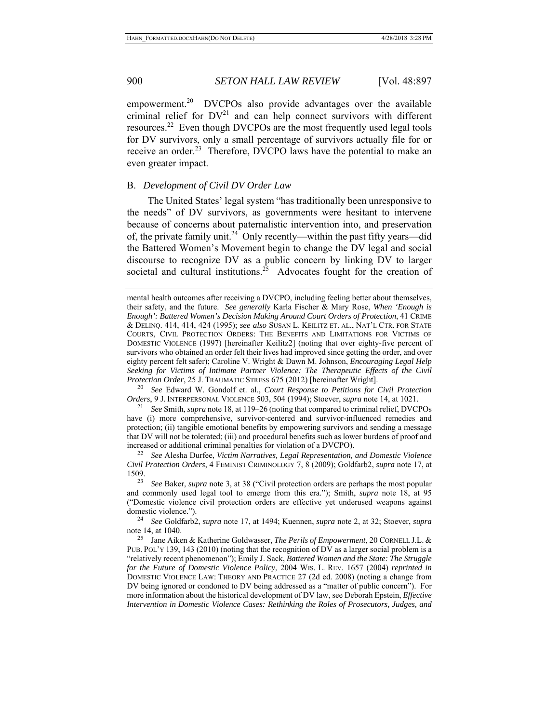empowerment.<sup>20</sup> DVCPOs also provide advantages over the available criminal relief for  $DV^{21}$  and can help connect survivors with different resources.22 Even though DVCPOs are the most frequently used legal tools for DV survivors, only a small percentage of survivors actually file for or receive an order.<sup>23</sup> Therefore, DVCPO laws have the potential to make an even greater impact.

## B. *Development of Civil DV Order Law*

The United States' legal system "has traditionally been unresponsive to the needs" of DV survivors, as governments were hesitant to intervene because of concerns about paternalistic intervention into, and preservation of, the private family unit.<sup>24</sup> Only recently—within the past fifty years—did the Battered Women's Movement begin to change the DV legal and social discourse to recognize DV as a public concern by linking DV to larger societal and cultural institutions.<sup>25</sup> Advocates fought for the creation of

20 *See* Edward W. Gondolf et. al., *Court Response to Petitions for Civil Protection Orders*, 9 J. INTERPERSONAL VIOLENCE 503, 504 (1994); Stoever, *supra* note 14, at 1021.<br><sup>21</sup> *See* Smith, *supra* note 18, at 119–26 (noting that compared to criminal relief, DVCPOs

have (i) more comprehensive, survivor-centered and survivor-influenced remedies and protection; (ii) tangible emotional benefits by empowering survivors and sending a message that DV will not be tolerated; (iii) and procedural benefits such as lower burdens of proof and increased or additional criminal penalties for violation of a DVCPO). 22 *See* Alesha Durfee, *Victim Narratives, Legal Representation, and Domestic Violence* 

*Civil Protection Orders*, 4 FEMINIST CRIMINOLOGY 7, 8 (2009); Goldfarb2, *supra* note 17, at 1509.

mental health outcomes after receiving a DVCPO, including feeling better about themselves, their safety, and the future. *See generally* Karla Fischer & Mary Rose, *When 'Enough is Enough': Battered Women's Decision Making Around Court Orders of Protection*, 41 CRIME & DELINQ. 414, 414, 424 (1995); *see also* SUSAN L. KEILITZ ET. AL., NAT'L CTR. FOR STATE COURTS, CIVIL PROTECTION ORDERS: THE BENEFITS AND LIMITATIONS FOR VICTIMS OF DOMESTIC VIOLENCE (1997) [hereinafter Keilitz2] (noting that over eighty-five percent of survivors who obtained an order felt their lives had improved since getting the order, and over eighty percent felt safer); Caroline V. Wright & Dawn M. Johnson, *Encouraging Legal Help Seeking for Victims of Intimate Partner Violence: The Therapeutic Effects of the Civil Protection Order*, 25 J. TRAUMATIC STRESS 675 (2012) [hereinafter Wright].

See Baker, *supra* note 3, at 38 ("Civil protection orders are perhaps the most popular and commonly used legal tool to emerge from this era."); Smith, *supra* note 18, at 95 ("Domestic violence civil protection orders are effective yet underused weapons against domestic violence."). 24 *See* Goldfarb2, *supra* note 17, at 1494; Kuennen, *supra* note 2, at 32; Stoever, *supra*

note 14, at 1040.

<sup>25</sup> Jane Aiken & Katherine Goldwasser, *The Perils of Empowerment*, 20 CORNELL J.L. & PUB. POL'Y 139, 143 (2010) (noting that the recognition of DV as a larger social problem is a "relatively recent phenomenon"); Emily J. Sack, *Battered Women and the State: The Struggle for the Future of Domestic Violence Policy*, 2004 WIS. L. REV. 1657 (2004) *reprinted in* DOMESTIC VIOLENCE LAW: THEORY AND PRACTICE 27 (2d ed. 2008) (noting a change from DV being ignored or condoned to DV being addressed as a "matter of public concern"). For more information about the historical development of DV law, see Deborah Epstein, *Effective Intervention in Domestic Violence Cases: Rethinking the Roles of Prosecutors, Judges, and*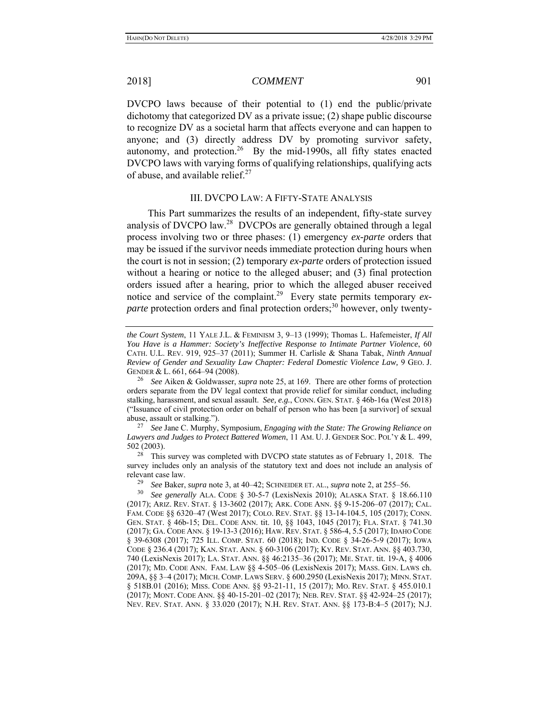DVCPO laws because of their potential to (1) end the public/private dichotomy that categorized DV as a private issue; (2) shape public discourse to recognize DV as a societal harm that affects everyone and can happen to anyone; and (3) directly address DV by promoting survivor safety, autonomy, and protection.<sup>26</sup> By the mid-1990s, all fifty states enacted DVCPO laws with varying forms of qualifying relationships, qualifying acts of abuse, and available relief.<sup>27</sup>

### III. DVCPO LAW: A FIFTY-STATE ANALYSIS

This Part summarizes the results of an independent, fifty-state survey analysis of DVCPO law.<sup>28</sup> DVCPOs are generally obtained through a legal process involving two or three phases: (1) emergency *ex-parte* orders that may be issued if the survivor needs immediate protection during hours when the court is not in session; (2) temporary *ex-parte* orders of protection issued without a hearing or notice to the alleged abuser; and (3) final protection orders issued after a hearing, prior to which the alleged abuser received notice and service of the complaint.<sup>29</sup> Every state permits temporary *exparte* protection orders and final protection orders;<sup>30</sup> however, only twenty-

<sup>28</sup> This survey was completed with DVCPO state statutes as of February 1, 2018. The survey includes only an analysis of the statutory text and does not include an analysis of relevant case law.<br> $\frac{29}{2}$  See Polson

29 *See* Baker, *supra* note 3, at 40–42; SCHNEIDER ET. AL., *supra* note 2, at 255–56.

30 *See generally* ALA. CODE § 30-5-7 (LexisNexis 2010); ALASKA STAT. § 18.66.110 (2017); ARIZ. REV. STAT. § 13-3602 (2017); ARK. CODE ANN. §§ 9-15-206–07 (2017); CAL. FAM. CODE §§ 6320–47 (West 2017); COLO. REV. STAT. §§ 13-14-104.5, 105 (2017); CONN. GEN. STAT. § 46b-15; DEL. CODE ANN. tit. 10, §§ 1043, 1045 (2017); FLA. STAT. § 741.30 (2017); GA. CODE ANN. § 19-13-3 (2016); HAW. REV. STAT. § 586-4, 5.5 (2017); IDAHO CODE § 39-6308 (2017); 725 ILL. COMP. STAT. 60 (2018); IND. CODE § 34-26-5-9 (2017); IOWA CODE § 236.4 (2017); KAN. STAT. ANN. § 60-3106 (2017); KY. REV. STAT. ANN. §§ 403.730, 740 (LexisNexis 2017); LA. STAT. ANN. §§ 46:2135–36 (2017); ME. STAT. tit. 19-A, § 4006 (2017); MD. CODE ANN. FAM. LAW §§ 4-505–06 (LexisNexis 2017); MASS. GEN. LAWS ch. 209A, §§ 3–4 (2017); MICH. COMP. LAWS SERV. § 600.2950 (LexisNexis 2017); MINN. STAT. § 518B.01 (2016); MISS. CODE ANN. §§ 93-21-11, 15 (2017); Mo. REV. STAT. § 455.010.1 (2017); MONT. CODE ANN. §§ 40-15-201–02 (2017); NEB. REV. STAT. §§ 42-924–25 (2017); NEV. REV. STAT. ANN. § 33.020 (2017); N.H. REV. STAT. ANN. §§ 173-B:4–5 (2017); N.J.

*the Court System*, 11 YALE J.L. & FEMINISM 3, 9–13 (1999); Thomas L. Hafemeister, *If All You Have is a Hammer: Society's Ineffective Response to Intimate Partner Violence*, 60 CATH. U.L. REV. 919, 925–37 (2011); Summer H. Carlisle & Shana Tabak, *Ninth Annual Review of Gender and Sexuality Law Chapter: Federal Domestic Violence Law,* 9 GEO. J. GENDER & L. 661, 664–94 (2008).

<sup>26</sup> *See* Aiken & Goldwasser, *supra* note 25, at 169. There are other forms of protection orders separate from the DV legal context that provide relief for similar conduct, including stalking, harassment, and sexual assault. *See, e.g.*, CONN. GEN. STAT. § 46b-16a (West 2018) ("Issuance of civil protection order on behalf of person who has been [a survivor] of sexual abuse, assault or stalking.").

<sup>27</sup> *See* Jane C. Murphy, Symposium, *Engaging with the State: The Growing Reliance on Lawyers and Judges to Protect Battered Women*, 11 AM. U. J. GENDER SOC. POL'Y & L. 499, 502 (2003).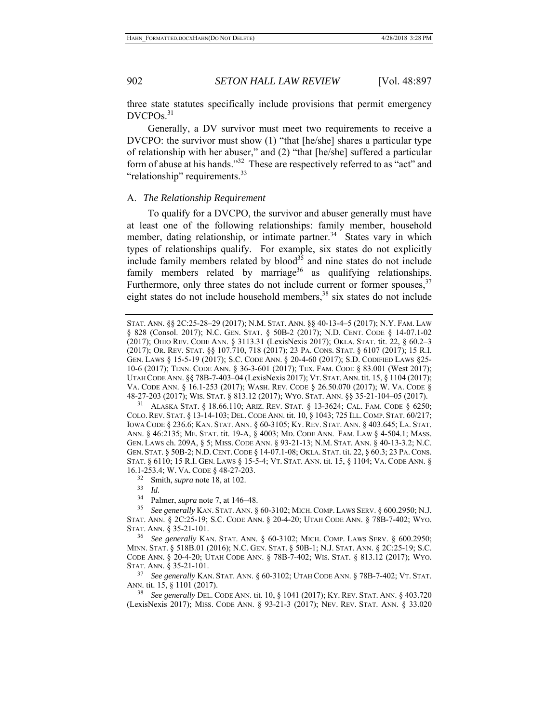three state statutes specifically include provisions that permit emergency DVCPOs.<sup>31</sup>

Generally, a DV survivor must meet two requirements to receive a DVCPO: the survivor must show (1) "that [he/she] shares a particular type of relationship with her abuser," and (2) "that [he/she] suffered a particular form of abuse at his hands."32 These are respectively referred to as "act" and "relationship" requirements.<sup>33</sup>

### A. *The Relationship Requirement*

To qualify for a DVCPO, the survivor and abuser generally must have at least one of the following relationships: family member, household member, dating relationship, or intimate partner.<sup>34</sup> States vary in which types of relationships qualify. For example, six states do not explicitly include family members related by  $b$ lood<sup>35</sup> and nine states do not include family members related by marriage<sup>36</sup> as qualifying relationships. Furthermore, only three states do not include current or former spouses,  $37$ eight states do not include household members, $38$  six states do not include

31 ALASKA STAT. § 18.66.110; ARIZ. REV. STAT. § 13-3624; CAL. FAM. CODE § 6250; COLO.REV. STAT. § 13-14-103; DEL.CODE ANN. tit. 10, § 1043; 725 ILL.COMP. STAT. 60/217; IOWA CODE § 236.6; KAN. STAT. ANN. § 60-3105; KY. REV. STAT. ANN. § 403.645; LA. STAT. ANN. § 46:2135; ME. STAT. tit. 19-A, § 4003; MD. CODE ANN. FAM. LAW § 4-504.1; MASS. GEN. LAWS ch. 209A, § 5; MISS. CODE ANN. § 93-21-13; N.M. STAT. ANN. § 40-13-3.2; N.C. GEN. STAT. § 50B-2; N.D.CENT.CODE § 14-07.1-08; OKLA. STAT. tit. 22, § 60.3; 23 PA.CONS. STAT. § 6110; 15 R.I. GEN. LAWS § 15-5-4; VT. STAT. ANN. tit. 15, § 1104; VA. CODE ANN. § 16.1-253.4; W. VA. CODE § 48-27-203.

32 Smith, *supra* note 18, at 102.

33 *Id.*

34 Palmer, *supra* note 7, at 146–48.

36 *See generally* KAN. STAT. ANN. § 60-3102; MICH. COMP. LAWS SERV. § 600.2950; MINN. STAT. § 518B.01 (2016); N.C. GEN. STAT. § 50B-1; N.J. STAT. ANN. § 2C:25-19; S.C. CODE ANN. § 20-4-20; UTAH CODE ANN. § 78B-7-402; WIS. STAT. § 813.12 (2017); WYO. STAT. ANN. § 35-21-101.

37 *See generally* KAN. STAT. ANN. § 60-3102; UTAH CODE ANN. § 78B-7-402; VT. STAT. ANN. tit. 15, § 1101 (2017).

38 *See generally* DEL. CODE ANN. tit. 10, § 1041 (2017); KY. REV. STAT. ANN. § 403.720 (LexisNexis 2017); MISS. CODE ANN. § 93-21-3 (2017); NEV. REV. STAT. ANN. § 33.020

STAT. ANN. §§ 2C:25-28–29 (2017); N.M. STAT. ANN. §§ 40-13-4–5 (2017); N.Y. FAM. LAW § 828 (Consol. 2017); N.C. GEN. STAT. § 50B-2 (2017); N.D. CENT. CODE § 14-07.1-02 (2017); OHIO REV. CODE ANN. § 3113.31 (LexisNexis 2017); OKLA. STAT. tit. 22, § 60.2–3 (2017); OR. REV. STAT. §§ 107.710, 718 (2017); 23 PA. CONS. STAT. § 6107 (2017); 15 R.I. GEN. LAWS § 15-5-19 (2017); S.C. CODE ANN. § 20-4-60 (2017); S.D. CODIFIED LAWS §25- 10-6 (2017); TENN. CODE ANN. § 36-3-601 (2017); TEX. FAM. CODE § 83.001 (West 2017); UTAH CODE ANN. §§ 78B-7-403–04 (LexisNexis 2017); VT. STAT.ANN. tit. 15, § 1104 (2017); VA. CODE ANN. § 16.1-253 (2017); WASH. REV. CODE § 26.50.070 (2017); W. VA. CODE § 48-27-203 (2017); WIS. STAT. § 813.12 (2017); WYO. STAT. ANN. §§ 35-21-104–05 (2017).

<sup>35</sup> *See generally* KAN. STAT. ANN. § 60-3102; MICH.COMP. LAWS SERV. § 600.2950; N.J. STAT. ANN. § 2C:25-19; S.C. CODE ANN. § 20-4-20; UTAH CODE ANN. § 78B-7-402; WYO. STAT. ANN. § 35-21-101.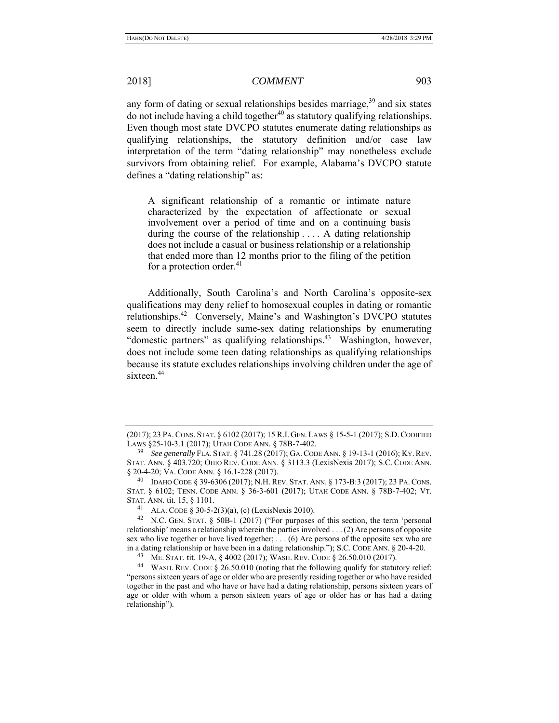any form of dating or sexual relationships besides marriage,  $39$  and six states do not include having a child together<sup>40</sup> as statutory qualifying relationships. Even though most state DVCPO statutes enumerate dating relationships as qualifying relationships, the statutory definition and/or case law interpretation of the term "dating relationship" may nonetheless exclude survivors from obtaining relief. For example, Alabama's DVCPO statute defines a "dating relationship" as:

A significant relationship of a romantic or intimate nature characterized by the expectation of affectionate or sexual involvement over a period of time and on a continuing basis during the course of the relationship . . . . A dating relationship does not include a casual or business relationship or a relationship that ended more than 12 months prior to the filing of the petition for a protection order.<sup>41</sup>

Additionally, South Carolina's and North Carolina's opposite-sex qualifications may deny relief to homosexual couples in dating or romantic relationships.42 Conversely, Maine's and Washington's DVCPO statutes seem to directly include same-sex dating relationships by enumerating "domestic partners" as qualifying relationships. $43$  Washington, however, does not include some teen dating relationships as qualifying relationships because its statute excludes relationships involving children under the age of sixteen.<sup>44</sup>

<sup>(2017); 23</sup> PA.CONS. STAT. § 6102 (2017); 15 R.I. GEN. LAWS § 15-5-1 (2017); S.D.CODIFIED LAWS §25-10-3.1 (2017); UTAH CODE ANN. § 78B-7-402.

<sup>39</sup> *See generally* FLA. STAT. § 741.28 (2017); GA.CODE ANN. § 19-13-1 (2016); KY.REV. STAT. ANN. § 403.720; OHIO REV. CODE ANN. § 3113.3 (LexisNexis 2017); S.C. CODE ANN. § 20-4-20; VA. CODE ANN. § 16.1-228 (2017).

<sup>40</sup> IDAHO CODE § 39-6306 (2017); N.H. REV. STAT. ANN. § 173-B:3 (2017); 23 PA. CONS. STAT. § 6102; TENN. CODE ANN. § 36-3-601 (2017); UTAH CODE ANN. § 78B-7-402; VT.

STAT. ANN. tit. 15, § 1101.<br><sup>41</sup> ALA. CODE § 30-5-2(3)(a), (c) (LexisNexis 2010).<br><sup>42</sup> N.C. GEN. STAT. § 50B-1 (2017) ("For purposes of this section, the term 'personal relationship' means a relationship wherein the parties involved . . . (2) Are persons of opposite sex who live together or have lived together; . . . (6) Are persons of the opposite sex who are in a dating relationship or have been in a dating relationship."); S.C. CODE ANN. § 20-4-20.<br><sup>43</sup> ME. STAT. tit. 19-A, § 4002 (2017); WASH. REV. CODE § 26.50.010 (2017).

<sup>&</sup>lt;sup>44</sup> WASH. REV. CODE § 26.50.010 (noting that the following qualify for statutory relief: "persons sixteen years of age or older who are presently residing together or who have resided together in the past and who have or have had a dating relationship, persons sixteen years of age or older with whom a person sixteen years of age or older has or has had a dating relationship").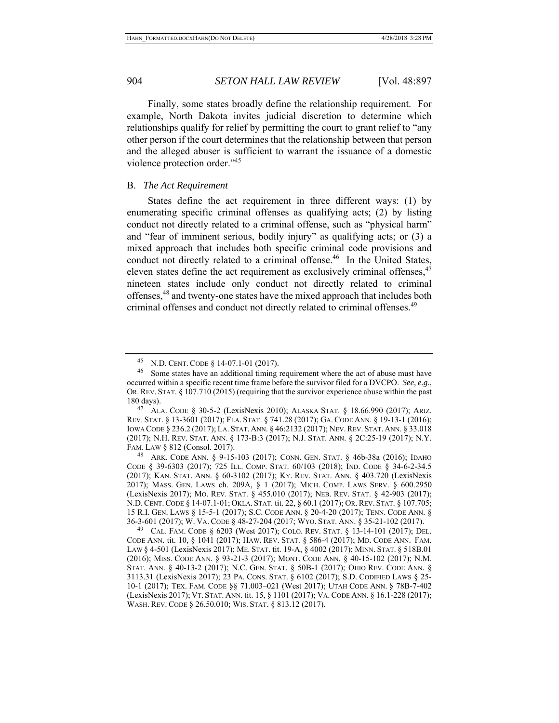Finally, some states broadly define the relationship requirement. For example, North Dakota invites judicial discretion to determine which relationships qualify for relief by permitting the court to grant relief to "any other person if the court determines that the relationship between that person and the alleged abuser is sufficient to warrant the issuance of a domestic violence protection order."45

### B. *The Act Requirement*

States define the act requirement in three different ways: (1) by enumerating specific criminal offenses as qualifying acts; (2) by listing conduct not directly related to a criminal offense, such as "physical harm" and "fear of imminent serious, bodily injury" as qualifying acts; or (3) a mixed approach that includes both specific criminal code provisions and conduct not directly related to a criminal offense.<sup>46</sup> In the United States, eleven states define the act requirement as exclusively criminal offenses, $47$ nineteen states include only conduct not directly related to criminal offenses,<sup>48</sup> and twenty-one states have the mixed approach that includes both criminal offenses and conduct not directly related to criminal offenses.<sup>49</sup>

N.D. CENT. CODE § 14-07.1-01 (2017).

<sup>&</sup>lt;sup>46</sup> Some states have an additional timing requirement where the act of abuse must have occurred within a specific recent time frame before the survivor filed for a DVCPO. *See*, *e.g.*, OR. REV. STAT. § 107.710 (2015) (requiring that the survivor experience abuse within the past 180 days).

<sup>47</sup> ALA. CODE § 30-5-2 (LexisNexis 2010); ALASKA STAT. § 18.66.990 (2017); ARIZ. REV. STAT. § 13-3601 (2017); FLA. STAT. § 741.28 (2017); GA. CODE ANN. § 19-13-1 (2016); IOWA CODE § 236.2 (2017); LA. STAT. ANN. § 46:2132 (2017); NEV.REV. STAT. ANN. § 33.018 (2017); N.H. REV. STAT. ANN. § 173-B:3 (2017); N.J. STAT. ANN. § 2C:25-19 (2017); N.Y. FAM. LAW § 812 (Consol. 2017).

<sup>48</sup> ARK. CODE ANN. § 9-15-103 (2017); CONN. GEN. STAT. § 46b-38a (2016); IDAHO CODE § 39-6303 (2017); 725 ILL. COMP. STAT. 60/103 (2018); IND. CODE § 34-6-2-34.5 (2017); KAN. STAT. ANN. § 60-3102 (2017); KY. REV. STAT. ANN. § 403.720 (LexisNexis 2017); MASS. GEN. LAWS ch. 209A, § 1 (2017); MICH. COMP. LAWS SERV. § 600.2950 (LexisNexis 2017); MO. REV. STAT. § 455.010 (2017); NEB. REV. STAT. § 42-903 (2017); N.D.CENT.CODE § 14-07.1-01; OKLA. STAT. tit. 22, § 60.1 (2017); OR.REV. STAT. § 107.705; 15 R.I. GEN. LAWS § 15-5-1 (2017); S.C. CODE ANN. § 20-4-20 (2017); TENN. CODE ANN. § 36-3-601 (2017); W. VA. CODE § 48-27-204 (2017; WYO. STAT. ANN. § 35-21-102 (2017).

<sup>49</sup> CAL. FAM. CODE § 6203 (West 2017); COLO. REV. STAT. § 13-14-101 (2017); DEL. CODE ANN. tit. 10, § 1041 (2017); HAW. REV. STAT. § 586-4 (2017); MD. CODE ANN. FAM. LAW § 4-501 (LexisNexis 2017); ME. STAT. tit. 19-A, § 4002 (2017); MINN. STAT. § 518B.01 (2016); MISS. CODE ANN. § 93-21-3 (2017); MONT. CODE ANN. § 40-15-102 (2017); N.M. STAT. ANN. § 40-13-2 (2017); N.C. GEN. STAT. § 50B-1 (2017); OHIO REV. CODE ANN. § 3113.31 (LexisNexis 2017); 23 PA. CONS. STAT. § 6102 (2017); S.D. CODIFIED LAWS § 25- 10-1 (2017); TEX. FAM. CODE §§ 71.003–021 (West 2017); UTAH CODE ANN. § 78B-7-402 (LexisNexis 2017); VT. STAT. ANN. tit. 15, § 1101 (2017); VA. CODE ANN. § 16.1-228 (2017); WASH. REV. CODE § 26.50.010; WIS. STAT. § 813.12 (2017).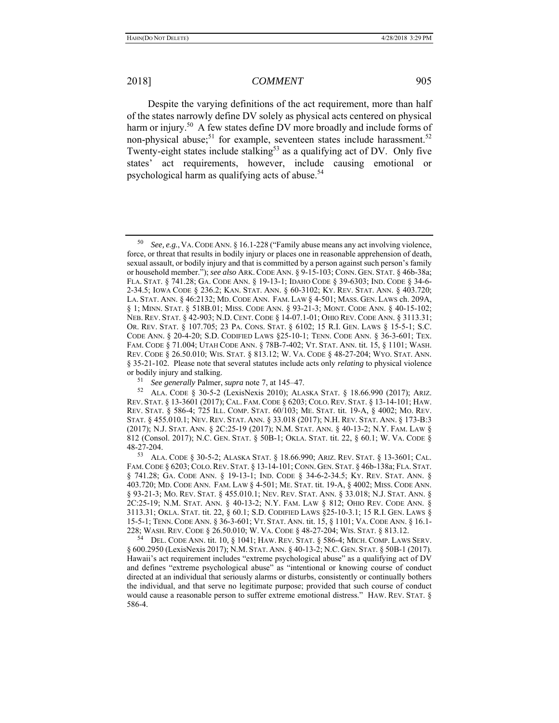Despite the varying definitions of the act requirement, more than half of the states narrowly define DV solely as physical acts centered on physical harm or injury.<sup>50</sup> A few states define DV more broadly and include forms of non-physical abuse;<sup>51</sup> for example, seventeen states include harassment.<sup>52</sup> Twenty-eight states include stalking<sup>53</sup> as a qualifying act of DV. Only five states' act requirements, however, include causing emotional or psychological harm as qualifying acts of abuse.<sup>54</sup>

See, e.g., VA. CODE ANN. § 16.1-228 ("Family abuse means any act involving violence, force, or threat that results in bodily injury or places one in reasonable apprehension of death, sexual assault, or bodily injury and that is committed by a person against such person's family or household member."); *see also* ARK. CODE ANN. § 9-15-103; CONN. GEN. STAT. § 46b-38a; FLA. STAT. § 741.28; GA. CODE ANN. § 19-13-1; IDAHO CODE § 39-6303; IND. CODE § 34-6- 2-34.5; IOWA CODE § 236.2; KAN. STAT. ANN. § 60-3102; KY. REV. STAT. ANN. § 403.720; LA. STAT. ANN. § 46:2132; MD. CODE ANN. FAM. LAW § 4-501; MASS. GEN. LAWS ch. 209A, § 1; MINN. STAT. § 518B.01; MISS. CODE ANN. § 93-21-3; MONT. CODE ANN. § 40-15-102; NEB. REV. STAT. § 42-903; N.D. CENT. CODE § 14-07.1-01; OHIO REV. CODE ANN. § 3113.31; OR. REV. STAT. § 107.705; 23 PA. CONS. STAT. § 6102; 15 R.I. GEN. LAWS § 15-5-1; S.C. CODE ANN. § 20-4-20; S.D. CODIFIED LAWS §25-10-1; TENN. CODE ANN. § 36-3-601; TEX. FAM. CODE § 71.004; UTAH CODE ANN. § 78B-7-402; VT. STAT. ANN. tit. 15, § 1101; WASH. REV. CODE § 26.50.010; WIS. STAT. § 813.12; W. VA. CODE § 48-27-204; WYO. STAT. ANN. § 35-21-102. Please note that several statutes include acts only *relating* to physical violence or bodily injury and stalking.

<sup>&</sup>lt;sup>51</sup> *See generally* Palmer, *supra* note 7, at 145–47.<br><sup>52</sup> ALA CODE 8, 30-5-2 (Lexis Nexis 2010): ALA

<sup>52</sup> ALA. CODE § 30-5-2 (LexisNexis 2010); ALASKA STAT. § 18.66.990 (2017); ARIZ. REV. STAT. § 13-3601 (2017); CAL. FAM. CODE § 6203; COLO. REV. STAT. § 13-14-101; HAW. REV. STAT. § 586-4; 725 ILL. COMP. STAT. 60/103; ME. STAT. tit. 19-A, § 4002; MO. REV. STAT. § 455.010.1; NEV. REV. STAT. ANN. § 33.018 (2017); N.H. REV. STAT. ANN. § 173-B:3 (2017); N.J. STAT. ANN. § 2C:25-19 (2017); N.M. STAT. ANN. § 40-13-2; N.Y. FAM. LAW § 812 (Consol. 2017); N.C. GEN. STAT. § 50B-1; OKLA. STAT. tit. 22, § 60.1; W. VA. CODE § 48-27-204.

<sup>53</sup> ALA. CODE § 30-5-2; ALASKA STAT. § 18.66.990; ARIZ. REV. STAT. § 13-3601; CAL. FAM.CODE § 6203; COLO.REV. STAT. § 13-14-101; CONN. GEN. STAT. § 46b-138a; FLA. STAT. § 741.28; GA. CODE ANN. § 19-13-1; IND. CODE § 34-6-2-34.5; KY. REV. STAT. ANN. § 403.720; MD. CODE ANN. FAM. LAW § 4-501; ME. STAT. tit. 19-A, § 4002; MISS. CODE ANN. § 93-21-3; MO. REV. STAT. § 455.010.1; NEV. REV. STAT. ANN. § 33.018; N.J. STAT. ANN. § 2C:25-19; N.M. STAT. ANN. § 40-13-2; N.Y. FAM. LAW § 812; OHIO REV. CODE ANN. § 3113.31; OKLA. STAT. tit. 22, § 60.1; S.D. CODIFIED LAWS §25-10-3.1; 15 R.I. GEN. LAWS § 15-5-1; TENN. CODE ANN. § 36-3-601; VT. STAT. ANN. tit. 15, § 1101; VA. CODE ANN. § 16.1- 228; WASH. REV. CODE § 26.50.010; W. VA. CODE § 48-27-204; WIS. STAT. § 813.12.

<sup>54</sup> DEL. CODE ANN. tit. 10, § 1041; HAW. REV. STAT. § 586-4; MICH. COMP. LAWS SERV. § 600.2950 (LexisNexis 2017); N.M. STAT. ANN. § 40-13-2; N.C. GEN. STAT. § 50B-1 (2017). Hawaii's act requirement includes "extreme psychological abuse" as a qualifying act of DV and defines "extreme psychological abuse" as "intentional or knowing course of conduct directed at an individual that seriously alarms or disturbs, consistently or continually bothers the individual, and that serve no legitimate purpose; provided that such course of conduct would cause a reasonable person to suffer extreme emotional distress." HAW. REV. STAT. § 586-4.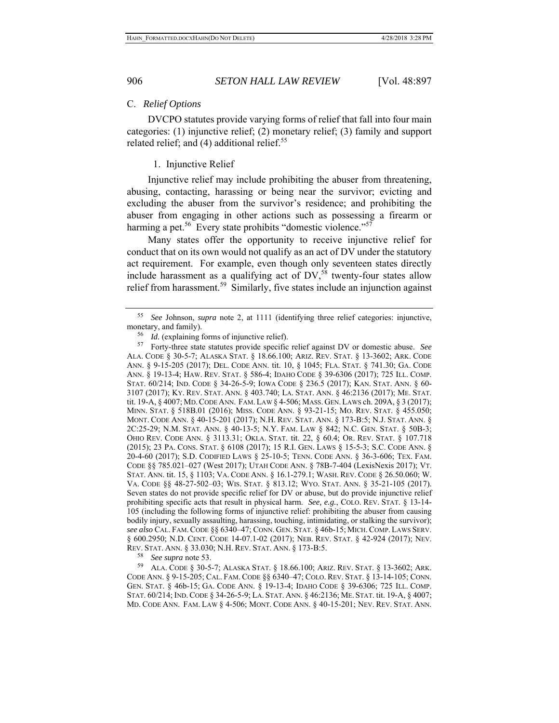# C. *Relief Options*

DVCPO statutes provide varying forms of relief that fall into four main categories: (1) injunctive relief; (2) monetary relief; (3) family and support related relief; and  $(4)$  additional relief.<sup>55</sup>

## 1. Injunctive Relief

Injunctive relief may include prohibiting the abuser from threatening, abusing, contacting, harassing or being near the survivor; evicting and excluding the abuser from the survivor's residence; and prohibiting the abuser from engaging in other actions such as possessing a firearm or harming a pet.<sup>56</sup> Every state prohibits "domestic violence."<sup>57</sup>

Many states offer the opportunity to receive injunctive relief for conduct that on its own would not qualify as an act of DV under the statutory act requirement. For example, even though only seventeen states directly include harassment as a qualifying act of  $DV<sub>58</sub>$  twenty-four states allow relief from harassment.<sup>59</sup> Similarly, five states include an injunction against

<sup>57</sup> Forty-three state statutes provide specific relief against DV or domestic abuse. See ALA. CODE § 30-5-7; ALASKA STAT. § 18.66.100; ARIZ. REV. STAT. § 13-3602; ARK. CODE ANN. § 9-15-205 (2017); DEL. CODE ANN. tit. 10, § 1045; FLA. STAT. § 741.30; GA. CODE ANN. § 19-13-4; HAW. REV. STAT. § 586-4; IDAHO CODE § 39-6306 (2017); 725 ILL. COMP. STAT. 60/214; IND. CODE § 34-26-5-9; IOWA CODE § 236.5 (2017); KAN. STAT. ANN. § 60- 3107 (2017); KY. REV. STAT. ANN. § 403.740; LA. STAT. ANN. § 46:2136 (2017); ME. STAT. tit. 19-A, § 4007; MD.CODE ANN. FAM.LAW § 4-506; MASS. GEN.LAWS ch. 209A, § 3 (2017); MINN. STAT. § 518B.01 (2016); MISS. CODE ANN. § 93-21-15; MO. REV. STAT. § 455.050; MONT. CODE ANN. § 40-15-201 (2017); N.H. REV. STAT. ANN. § 173-B:5; N.J. STAT. ANN. § 2C:25-29; N.M. STAT. ANN. § 40-13-5; N.Y. FAM. LAW § 842; N.C. GEN. STAT. § 50B-3; OHIO REV. CODE ANN. § 3113.31; OKLA. STAT. tit. 22, § 60.4; OR. REV. STAT. § 107.718 (2015); 23 PA. CONS. STAT. § 6108 (2017); 15 R.I. GEN. LAWS § 15-5-3; S.C. CODE ANN. § 20-4-60 (2017); S.D. CODIFIED LAWS § 25-10-5; TENN. CODE ANN. § 36-3-606; TEX. FAM. CODE §§ 785.021–027 (West 2017); UTAH CODE ANN. § 78B-7-404 (LexisNexis 2017); VT. STAT. ANN. tit. 15, § 1103; VA. CODE ANN. § 16.1-279.1; WASH. REV. CODE § 26.50.060; W. VA. CODE §§ 48-27-502–03; WIS. STAT. § 813.12; WYO. STAT. ANN. § 35-21-105 (2017). Seven states do not provide specific relief for DV or abuse, but do provide injunctive relief prohibiting specific acts that result in physical harm. *See, e.g.*, COLO. REV. STAT. § 13-14- 105 (including the following forms of injunctive relief: prohibiting the abuser from causing bodily injury, sexually assaulting, harassing, touching, intimidating, or stalking the survivor); *see also* CAL. FAM.CODE §§ 6340–47; CONN. GEN. STAT. § 46b-15; MICH.COMP. LAWS SERV. § 600.2950; N.D. CENT. CODE 14-07.1-02 (2017); NEB. REV. STAT. § 42-924 (2017); NEV. REV. STAT. ANN. § 33.030; N.H. REV. STAT. ANN. § 173-B:5.

58 *See supra* note 53.

59 ALA. CODE § 30-5-7; ALASKA STAT. § 18.66.100; ARIZ. REV. STAT. § 13-3602; ARK. CODE ANN. § 9-15-205; CAL. FAM. CODE §§ 6340–47; COLO. REV. STAT. § 13-14-105; CONN. GEN. STAT. § 46b-15; GA. CODE ANN. § 19-13-4; IDAHO CODE § 39-6306; 725 ILL. COMP. STAT. 60/214; IND.CODE § 34-26-5-9; LA. STAT. ANN. § 46:2136; ME. STAT. tit. 19-A, § 4007; MD. CODE ANN. FAM. LAW § 4-506; MONT. CODE ANN. § 40-15-201; NEV. REV. STAT. ANN.

<sup>55</sup> *See* Johnson, *supra* note 2, at 1111 (identifying three relief categories: injunctive, monetary, and family).<br> $^{56}$  *Id.* (explaining forms of injunctive relief).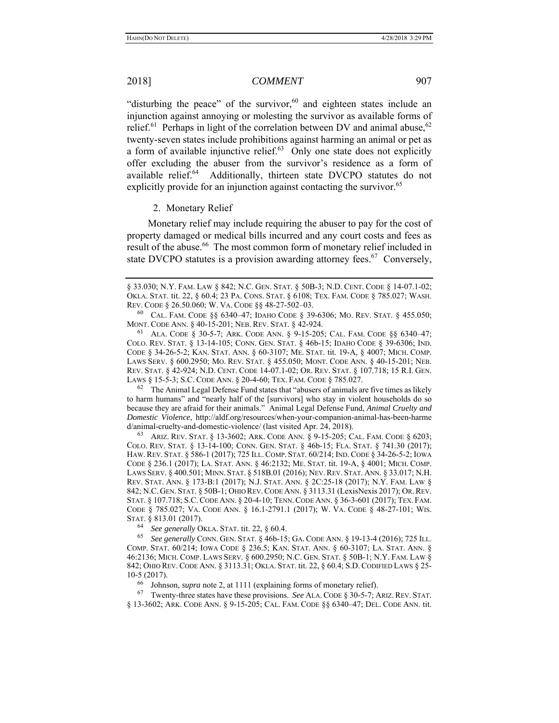"disturbing the peace" of the survivor, $60$  and eighteen states include an injunction against annoying or molesting the survivor as available forms of relief.<sup>61</sup> Perhaps in light of the correlation between DV and animal abuse,  $62$ twenty-seven states include prohibitions against harming an animal or pet as a form of available injunctive relief. $63$  Only one state does not explicitly offer excluding the abuser from the survivor's residence as a form of available relief.<sup>64</sup> Additionally, thirteen state DVCPO statutes do not explicitly provide for an injunction against contacting the survivor.<sup>65</sup>

2. Monetary Relief

Monetary relief may include requiring the abuser to pay for the cost of property damaged or medical bills incurred and any court costs and fees as result of the abuse.<sup>66</sup> The most common form of monetary relief included in state DVCPO statutes is a provision awarding attorney fees.<sup>67</sup> Conversely,

 $62$  The Animal Legal Defense Fund states that "abusers of animals are five times as likely to harm humans" and "nearly half of the [survivors] who stay in violent households do so because they are afraid for their animals." Animal Legal Defense Fund, *Animal Cruelty and Domestic Violence*, http://aldf.org/resources/when-your-companion-animal-has-been-harme d/animal-cruelty-and-domestic-violence/ (last visited Apr. 24, 2018).

63 ARIZ. REV. STAT. § 13-3602; ARK. CODE ANN. § 9-15-205; CAL. FAM. CODE § 6203; COLO. REV. STAT. § 13-14-100; CONN. GEN. STAT. § 46b-15; FLA. STAT. § 741.30 (2017); HAW.REV. STAT. § 586-1 (2017); 725 ILL.COMP. STAT. 60/214; IND.CODE § 34-26-5-2; IOWA CODE § 236.1 (2017); LA. STAT. ANN. § 46:2132; ME. STAT. tit. 19-A, § 4001; MICH. COMP. LAWS SERV. § 400.501; MINN. STAT. § 518B.01 (2016); NEV.REV. STAT. ANN. § 33.017; N.H. REV. STAT. ANN. § 173-B:1 (2017); N.J. STAT. ANN. § 2C:25-18 (2017); N.Y. FAM. LAW § 842; N.C. GEN. STAT. § 50B-1; OHIO REV.CODE ANN. § 3113.31 (LexisNexis 2017); OR.REV. STAT. § 107.718; S.C.CODE ANN. § 20-4-10; TENN.CODE ANN. § 36-3-601 (2017); TEX. FAM. CODE § 785.027; VA. CODE ANN. § 16.1-2791.1 (2017); W. VA. CODE § 48-27-101; WIS. STAT. § 813.01 (2017).

64 *See generally* OKLA. STAT. tit. 22, § 60.4.

65 *See generally* CONN. GEN. STAT. § 46b-15; GA. CODE ANN. § 19-13-4 (2016); 725 ILL. COMP. STAT. 60/214; IOWA CODE § 236.5; KAN. STAT. ANN. § 60-3107; LA. STAT. ANN. § 46:2136; MICH. COMP. LAWS SERV. § 600.2950; N.C. GEN. STAT. § 50B-1; N.Y. FAM. LAW § 842; OHIO REV. CODE ANN. § 3113.31; OKLA. STAT. tit. 22, § 60.4; S.D. CODIFIED LAWS § 25- 10-5 (2017).

66 Johnson, *supra* note 2, at 1111 (explaining forms of monetary relief).

67 Twenty-three states have these provisions. *See* ALA. CODE § 30-5-7; ARIZ. REV. STAT.

§ 13-3602; ARK. CODE ANN. § 9-15-205; CAL. FAM. CODE §§ 6340–47; DEL. CODE ANN. tit.

<sup>§ 33.030;</sup> N.Y. FAM. LAW § 842; N.C. GEN. STAT. § 50B-3; N.D. CENT. CODE § 14-07.1-02; OKLA. STAT. tit. 22, § 60.4; 23 PA. CONS. STAT. § 6108; TEX. FAM. CODE § 785.027; WASH. REV. CODE § 26.50.060; W. VA. CODE §§ 48-27-502–03.

<sup>60</sup> CAL. FAM. CODE §§ 6340–47; IDAHO CODE § 39-6306; MO. REV. STAT. § 455.050; MONT. CODE ANN. § 40-15-201; NEB. REV. STAT. § 42-924.

<sup>61</sup> ALA. CODE § 30-5-7; ARK. CODE ANN. § 9-15-205; CAL. FAM. CODE §§ 6340–47; COLO. REV. STAT. § 13-14-105; CONN. GEN. STAT. § 46b-15; IDAHO CODE § 39-6306; IND. CODE § 34-26-5-2; KAN. STAT. ANN. § 60-3107; ME. STAT. tit. 19-A, § 4007; MICH. COMP. LAWS SERV. § 600.2950; MO. REV. STAT. § 455.050; MONT. CODE ANN. § 40-15-201; NEB. REV. STAT. § 42-924; N.D. CENT. CODE 14-07.1-02; OR. REV. STAT. § 107.718; 15 R.I. GEN. LAWS § 15-5-3; S.C. CODE ANN. § 20-4-60; TEX. FAM. CODE § 785.027.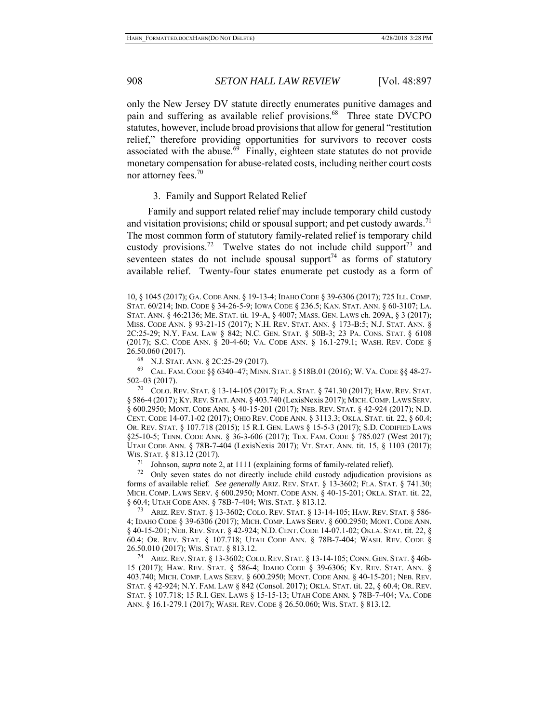only the New Jersey DV statute directly enumerates punitive damages and pain and suffering as available relief provisions.<sup>68</sup> Three state DVCPO statutes, however, include broad provisions that allow for general "restitution relief," therefore providing opportunities for survivors to recover costs associated with the abuse.<sup>69</sup> Finally, eighteen state statutes do not provide monetary compensation for abuse-related costs, including neither court costs nor attorney fees.<sup>70</sup>

# 3. Family and Support Related Relief

Family and support related relief may include temporary child custody and visitation provisions; child or spousal support; and pet custody awards.<sup>71</sup> The most common form of statutory family-related relief is temporary child custody provisions.<sup>72</sup> Twelve states do not include child support<sup>73</sup> and seventeen states do not include spousal support<sup>74</sup> as forms of statutory available relief. Twenty-four states enumerate pet custody as a form of

68 N.J. STAT. ANN. § 2C:25-29 (2017).

69 CAL. FAM. CODE §§ 6340–47; MINN. STAT. § 518B.01 (2016); W. VA. CODE §§ 48-27- 502–03 (2017).

70 COLO. REV. STAT. § 13-14-105 (2017); FLA. STAT. § 741.30 (2017); HAW. REV. STAT. § 586-4 (2017); KY.REV. STAT. ANN. § 403.740 (LexisNexis 2017); MICH.COMP.LAWS SERV. § 600.2950; MONT. CODE ANN. § 40-15-201 (2017); NEB. REV. STAT. § 42-924 (2017); N.D. CENT. CODE 14-07.1-02 (2017); OHIO REV. CODE ANN. § 3113.3; OKLA. STAT. tit. 22, § 60.4; OR. REV. STAT. § 107.718 (2015); 15 R.I. GEN. LAWS § 15-5-3 (2017); S.D. CODIFIED LAWS §25-10-5; TENN. CODE ANN. § 36-3-606 (2017); TEX. FAM. CODE § 785.027 (West 2017); UTAH CODE ANN. § 78B-7-404 (LexisNexis 2017); VT. STAT. ANN. tit. 15, § 1103 (2017); WIS. STAT. § 813.12 (2017).

71 Johnson, *supra* note 2, at 1111 (explaining forms of family-related relief).

72 Only seven states do not directly include child custody adjudication provisions as forms of available relief. *See generally* ARIZ. REV. STAT. § 13-3602; FLA. STAT. § 741.30; MICH. COMP. LAWS SERV. § 600.2950; MONT. CODE ANN. § 40-15-201; OKLA. STAT. tit. 22, § 60.4; UTAH CODE ANN. § 78B-7-404; WIS. STAT. § 813.12.

73 ARIZ. REV. STAT. § 13-3602; COLO. REV. STAT. § 13-14-105; HAW. REV. STAT. § 586- 4; IDAHO CODE § 39-6306 (2017); MICH. COMP. LAWS SERV. § 600.2950; MONT. CODE ANN. § 40-15-201; NEB. REV. STAT. § 42-924; N.D. CENT. CODE 14-07.1-02; OKLA. STAT. tit. 22, § 60.4; OR. REV. STAT. § 107.718; UTAH CODE ANN. § 78B-7-404; WASH. REV. CODE § 26.50.010 (2017); WIS. STAT. § 813.12.

74 ARIZ.REV. STAT. § 13-3602; COLO.REV. STAT. § 13-14-105; CONN. GEN. STAT. § 46b-15 (2017); HAW. REV. STAT. § 586-4; IDAHO CODE § 39-6306; KY. REV. STAT. ANN. § 403.740; MICH. COMP. LAWS SERV. § 600.2950; MONT. CODE ANN. § 40-15-201; NEB. REV. STAT. § 42-924; N.Y. FAM. LAW § 842 (Consol. 2017); OKLA. STAT. tit. 22, § 60.4; OR. REV. STAT. § 107.718; 15 R.I. GEN. LAWS § 15-15-13; UTAH CODE ANN. § 78B-7-404; VA. CODE ANN. § 16.1-279.1 (2017); WASH. REV. CODE § 26.50.060; WIS. STAT. § 813.12.

<sup>10, § 1045 (2017);</sup> GA. CODE ANN. § 19-13-4; IDAHO CODE § 39-6306 (2017); 725 ILL. COMP. STAT. 60/214; IND. CODE § 34-26-5-9; IOWA CODE § 236.5; KAN. STAT. ANN. § 60-3107; LA. STAT. ANN. § 46:2136; ME. STAT. tit. 19-A, § 4007; MASS. GEN. LAWS ch. 209A, § 3 (2017); MISS. CODE ANN. § 93-21-15 (2017); N.H. REV. STAT. ANN. § 173-B:5; N.J. STAT. ANN. § 2C:25-29; N.Y. FAM. LAW § 842; N.C. GEN. STAT. § 50B-3; 23 PA. CONS. STAT. § 6108 (2017); S.C. CODE ANN. § 20-4-60; VA. CODE ANN. § 16.1-279.1; WASH. REV. CODE § 26.50.060 (2017).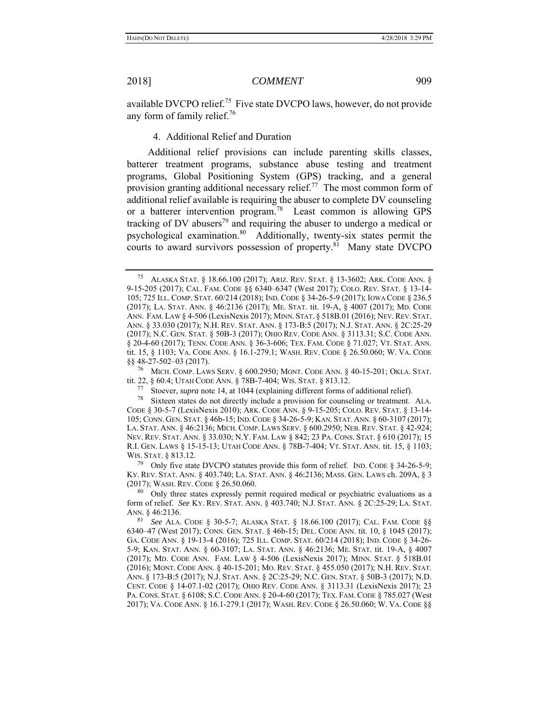available DVCPO relief.<sup>75</sup> Five state DVCPO laws, however, do not provide any form of family relief.<sup>76</sup>

# 4. Additional Relief and Duration

Additional relief provisions can include parenting skills classes, batterer treatment programs, substance abuse testing and treatment programs, Global Positioning System (GPS) tracking, and a general provision granting additional necessary relief.<sup>77</sup> The most common form of additional relief available is requiring the abuser to complete DV counseling or a batterer intervention program.78 Least common is allowing GPS tracking of DV abusers<sup>79</sup> and requiring the abuser to undergo a medical or psychological examination.<sup>80</sup> Additionally, twenty-six states permit the courts to award survivors possession of property. $81$  Many state DVCPO

76 MICH. COMP. LAWS SERV. § 600.2950; MONT. CODE ANN. § 40-15-201; OKLA. STAT. tit. 22, § 60.4; UTAH CODE ANN. § 78B-7-404; WIS. STAT. § 813.12. 77 Stoever, *supra* note 14, at 1044 (explaining different forms of additional relief).

<sup>79</sup> Only five state DVCPO statutes provide this form of relief. IND. CODE  $\S$  34-26-5-9; KY. REV. STAT. ANN. § 403.740; LA. STAT. ANN. § 46:2136; MASS. GEN. LAWS ch. 209A, § 3 (2017); WASH. REV. CODE § 26.50.060.

<sup>80</sup> Only three states expressly permit required medical or psychiatric evaluations as a form of relief. *See* KY. REV. STAT. ANN. § 403.740; N.J. STAT. ANN. § 2C:25-29; LA. STAT. ANN. § 46:2136.

<sup>75</sup> ALASKA STAT. § 18.66.100 (2017); ARIZ. REV. STAT. § 13-3602; ARK. CODE ANN. § 9-15-205 (2017); CAL. FAM. CODE §§ 6340–6347 (West 2017); COLO. REV. STAT. § 13-14- 105; 725 ILL. COMP. STAT. 60/214 (2018); IND. CODE § 34-26-5-9 (2017); IOWA CODE § 236.5 (2017); LA. STAT. ANN. § 46:2136 (2017); ME. STAT. tit. 19-A, § 4007 (2017); MD. CODE ANN. FAM. LAW § 4-506 (LexisNexis 2017); MINN. STAT. § 518B.01 (2016); NEV.REV. STAT. ANN. § 33.030 (2017); N.H. REV. STAT. ANN. § 173-B:5 (2017); N.J. STAT. ANN. § 2C:25-29 (2017); N.C. GEN. STAT. § 50B-3 (2017); OHIO REV. CODE ANN. § 3113.31; S.C. CODE ANN. § 20-4-60 (2017); TENN. CODE ANN. § 36-3-606; TEX. FAM. CODE § 71.027; VT. STAT. ANN. tit. 15, § 1103; VA. CODE ANN. § 16.1-279.1; WASH. REV. CODE § 26.50.060; W. VA. CODE §§ 48-27-502–03 (2017).

<sup>&</sup>lt;sup>78</sup> Sixteen states do not directly include a provision for counseling or treatment. ALA. CODE § 30-5-7 (LexisNexis 2010); ARK. CODE ANN. § 9-15-205; COLO. REV. STAT. § 13-14- 105; CONN. GEN. STAT. § 46b-15; IND.CODE § 34-26-5-9; KAN. STAT. ANN. § 60-3107 (2017); LA. STAT. ANN. § 46:2136; MICH. COMP. LAWS SERV. § 600.2950; NEB. REV. STAT. § 42-924; NEV. REV. STAT. ANN. § 33.030; N.Y. FAM. LAW § 842; 23 PA. CONS. STAT. § 610 (2017); 15 R.I. GEN. LAWS § 15-15-13; UTAH CODE ANN. § 78B-7-404; VT. STAT. ANN. tit. 15, § 1103; WIS. STAT. § 813.12.

<sup>81</sup> *See* ALA. CODE § 30-5-7; ALASKA STAT. § 18.66.100 (2017); CAL. FAM. CODE §§ 6340–47 (West 2017); CONN. GEN. STAT. § 46b-15; DEL. CODE ANN. tit. 10, § 1045 (2017); GA. CODE ANN. § 19-13-4 (2016); 725 ILL. COMP. STAT. 60/214 (2018); IND. CODE § 34-26- 5-9; KAN. STAT. ANN. § 60-3107; LA. STAT. ANN. § 46:2136; ME. STAT. tit. 19-A, § 4007 (2017); MD. CODE ANN. FAM. LAW § 4-506 (LexisNexis 2017); MINN. STAT. § 518B.01 (2016); MONT. CODE ANN. § 40-15-201; MO. REV. STAT. § 455.050 (2017); N.H. REV. STAT. ANN. § 173-B:5 (2017); N.J. STAT. ANN. § 2C:25-29; N.C. GEN. STAT. § 50B-3 (2017); N.D. CENT. CODE § 14-07.1-02 (2017); OHIO REV. CODE ANN. § 3113.31 (LexisNexis 2017); 23 PA. CONS. STAT. § 6108; S.C. CODE ANN. § 20-4-60 (2017); TEX. FAM. CODE § 785.027 (West 2017); VA. CODE ANN. § 16.1-279.1 (2017); WASH. REV. CODE § 26.50.060; W. VA. CODE §§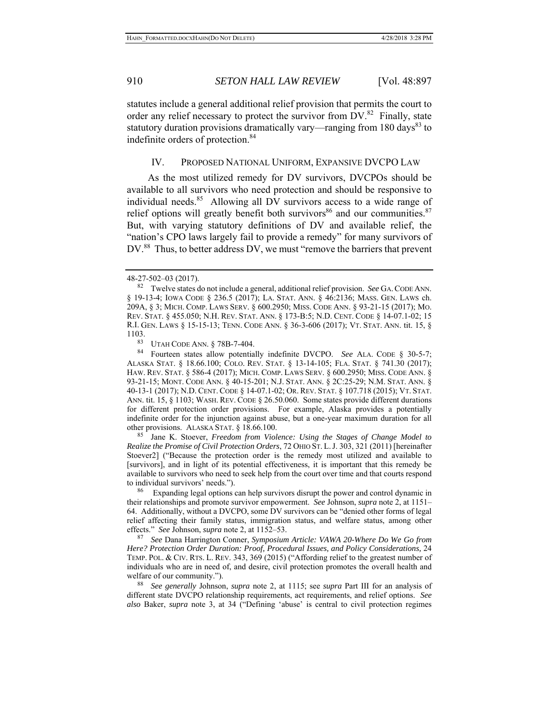statutes include a general additional relief provision that permits the court to order any relief necessary to protect the survivor from  $DV^{\{82\}}$ . Finally, state statutory duration provisions dramatically vary—ranging from  $180 \text{ days}^{83}$  to indefinite orders of protection.<sup>84</sup>

### IV. PROPOSED NATIONAL UNIFORM, EXPANSIVE DVCPO LAW

As the most utilized remedy for DV survivors, DVCPOs should be available to all survivors who need protection and should be responsive to individual needs.<sup>85</sup> Allowing all  $\overline{DV}$  survivors access to a wide range of relief options will greatly benefit both survivors<sup>86</sup> and our communities.<sup>87</sup> But, with varying statutory definitions of DV and available relief, the "nation's CPO laws largely fail to provide a remedy" for many survivors of DV.<sup>88</sup> Thus, to better address DV, we must "remove the barriers that prevent

UTAH CODE ANN. § 78B-7-404.

84 Fourteen states allow potentially indefinite DVCPO. *See* ALA. CODE § 30-5-7; ALASKA STAT. § 18.66.100; COLO. REV. STAT. § 13-14-105; FLA. STAT. § 741.30 (2017); HAW. REV. STAT. § 586-4 (2017); MICH. COMP. LAWS SERV. § 600.2950; MISS. CODE ANN. § 93-21-15; MONT. CODE ANN. § 40-15-201; N.J. STAT. ANN. § 2C:25-29; N.M. STAT. ANN. § 40-13-1 (2017); N.D. CENT. CODE § 14-07.1-02; OR. REV. STAT. § 107.718 (2015); VT. STAT. ANN. tit. 15, § 1103; WASH. REV. CODE § 26.50.060. Some states provide different durations for different protection order provisions. For example, Alaska provides a potentially indefinite order for the injunction against abuse, but a one-year maximum duration for all other provisions. ALASKA STAT. § 18.66.100.

85 Jane K. Stoever, *Freedom from Violence: Using the Stages of Change Model to Realize the Promise of Civil Protection Orders*, 72 OHIO ST. L.J. 303, 321 (2011) [hereinafter Stoever2] ("Because the protection order is the remedy most utilized and available to [survivors], and in light of its potential effectiveness, it is important that this remedy be available to survivors who need to seek help from the court over time and that courts respond to individual survivors' needs.").

86 Expanding legal options can help survivors disrupt the power and control dynamic in their relationships and promote survivor empowerment. *See* Johnson, *supra* note 2, at 1151– 64. Additionally, without a DVCPO, some DV survivors can be "denied other forms of legal relief affecting their family status, immigration status, and welfare status, among other effects." *See* Johnson, *supra* note 2, at 1152–53.

87 *See* Dana Harrington Conner, *Symposium Article: VAWA 20-Where Do We Go from Here? Protection Order Duration: Proof, Procedural Issues, and Policy Considerations,* 24 TEMP. POL. & CIV. RTS. L. REV. 343, 369 (2015) ("Affording relief to the greatest number of individuals who are in need of, and desire, civil protection promotes the overall health and welfare of our community.").<br><sup>88</sup> *See generally* Johnson, *supra* note 2, at 1115; see *supra* Part III for an analysis of

different state DVCPO relationship requirements, act requirements, and relief options. *See also* Baker, *supra* note 3, at 34 ("Defining 'abuse' is central to civil protection regimes

<sup>48-27-502–03 (2017).</sup> 

<sup>82</sup> Twelve states do not include a general, additional relief provision. *See* GA.CODE ANN. § 19-13-4; IOWA CODE § 236.5 (2017); LA. STAT. ANN. § 46:2136; MASS. GEN. LAWS ch. 209A, § 3; MICH. COMP. LAWS SERV. § 600.2950; MISS. CODE ANN. § 93-21-15 (2017); MO. REV. STAT. § 455.050; N.H. REV. STAT. ANN. § 173-B:5; N.D. CENT. CODE § 14-07.1-02; 15 R.I. GEN. LAWS § 15-15-13; TENN. CODE ANN. § 36-3-606 (2017); VT. STAT. ANN. tit. 15, § 1103.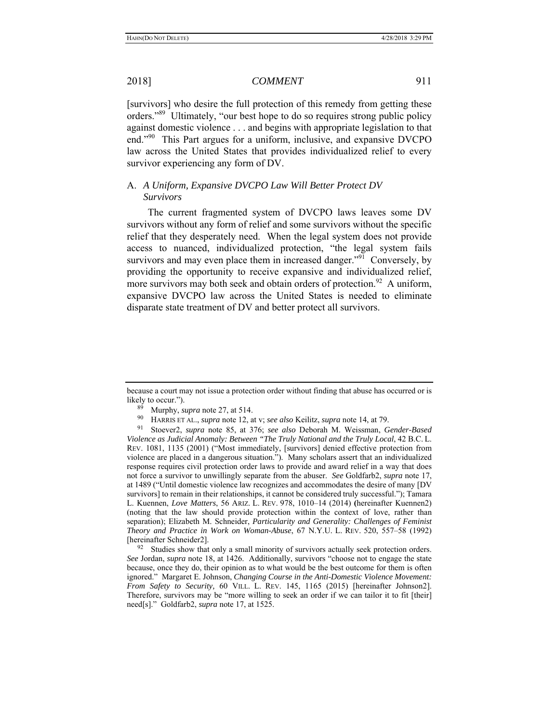[survivors] who desire the full protection of this remedy from getting these orders."<sup>89</sup> Ultimately, "our best hope to do so requires strong public policy against domestic violence . . . and begins with appropriate legislation to that end."90 This Part argues for a uniform, inclusive, and expansive DVCPO law across the United States that provides individualized relief to every survivor experiencing any form of DV.

# A. *A Uniform, Expansive DVCPO Law Will Better Protect DV Survivors*

The current fragmented system of DVCPO laws leaves some DV survivors without any form of relief and some survivors without the specific relief that they desperately need. When the legal system does not provide access to nuanced, individualized protection, "the legal system fails survivors and may even place them in increased danger."<sup>91</sup> Conversely, by providing the opportunity to receive expansive and individualized relief, more survivors may both seek and obtain orders of protection.<sup>92</sup> A uniform, expansive DVCPO law across the United States is needed to eliminate disparate state treatment of DV and better protect all survivors.

 $92$  Studies show that only a small minority of survivors actually seek protection orders. *See* Jordan, *supra* note 18, at 1426. Additionally, survivors "choose not to engage the state because, once they do, their opinion as to what would be the best outcome for them is often ignored." Margaret E. Johnson, *Changing Course in the Anti-Domestic Violence Movement: From Safety to Security,* 60 VILL. L. REV. 145, 1165 (2015) [hereinafter Johnson2]. Therefore, survivors may be "more willing to seek an order if we can tailor it to fit [their] need[s]." Goldfarb2, *supra* note 17, at 1525.

because a court may not issue a protection order without finding that abuse has occurred or is likely to occur.").

<sup>89</sup> Murphy, *supra* note 27, at 514.

<sup>90</sup> HARRIS ET AL., *supra* note 12, at v; *see also* Keilitz, *supra* note 14, at 79.

<sup>91</sup> Stoever2, *supra* note 85, at 376; *see also* Deborah M. Weissman, *Gender-Based Violence as Judicial Anomaly: Between "The Truly National and the Truly Local*, 42 B.C. L. REV. 1081, 1135 (2001) ("Most immediately, [survivors] denied effective protection from violence are placed in a dangerous situation."). Many scholars assert that an individualized response requires civil protection order laws to provide and award relief in a way that does not force a survivor to unwillingly separate from the abuser. *See* Goldfarb2, *supra* note 17, at 1489 ("Until domestic violence law recognizes and accommodates the desire of many [DV survivors] to remain in their relationships, it cannot be considered truly successful."); Tamara L. Kuennen, *Love Matters*, 56 ARIZ. L. REV. 978, 1010–14 (2014) **(**hereinafter Kuennen2) (noting that the law should provide protection within the context of love, rather than separation); Elizabeth M. Schneider, *Particularity and Generality: Challenges of Feminist Theory and Practice in Work on Woman-Abuse*, 67 N.Y.U. L. REV. 520, 557–58 (1992) [hereinafter Schneider2].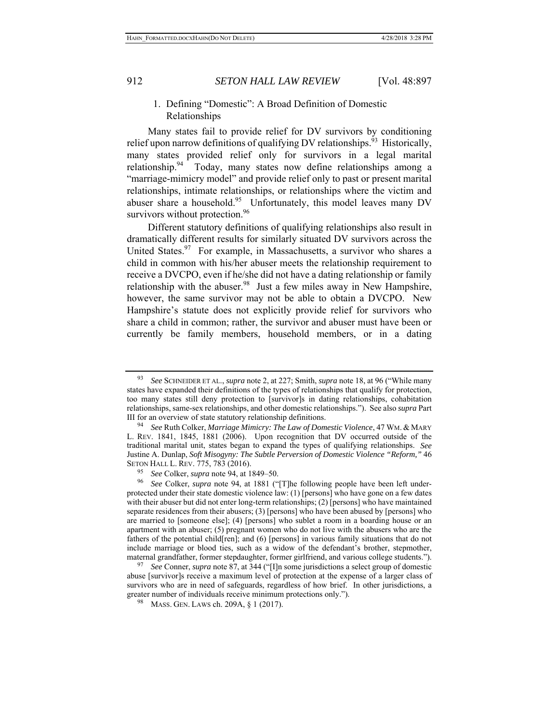# 1. Defining "Domestic": A Broad Definition of Domestic Relationships

Many states fail to provide relief for DV survivors by conditioning relief upon narrow definitions of qualifying DV relationships.<sup>93</sup> Historically, many states provided relief only for survivors in a legal marital relationship.<sup>94</sup> Today, many states now define relationships among a "marriage-mimicry model" and provide relief only to past or present marital relationships, intimate relationships, or relationships where the victim and abuser share a household.<sup>95</sup> Unfortunately, this model leaves many DV survivors without protection.<sup>96</sup>

Different statutory definitions of qualifying relationships also result in dramatically different results for similarly situated DV survivors across the United States.<sup>97</sup> For example, in Massachusetts, a survivor who shares a child in common with his/her abuser meets the relationship requirement to receive a DVCPO, even if he/she did not have a dating relationship or family relationship with the abuser.<sup>98</sup> Just a few miles away in New Hampshire, however, the same survivor may not be able to obtain a DVCPO. New Hampshire's statute does not explicitly provide relief for survivors who share a child in common; rather, the survivor and abuser must have been or currently be family members, household members, or in a dating

<sup>93</sup> *See* SCHNEIDER ET AL., *supra* note 2, at 227; Smith, *supra* note 18, at 96 ("While many states have expanded their definitions of the types of relationships that qualify for protection, too many states still deny protection to [survivor]s in dating relationships, cohabitation relationships, same-sex relationships, and other domestic relationships."). See also *supra* Part III for an overview of state statutory relationship definitions. 94 *See* Ruth Colker, *Marriage Mimicry: The Law of Domestic Violence*, 47 WM. & MARY

L. REV. 1841, 1845, 1881 (2006). Upon recognition that DV occurred outside of the traditional marital unit, states began to expand the types of qualifying relationships. *See* Justine A. Dunlap, *Soft Misogyny: The Subtle Perversion of Domestic Violence "Reform,"* 46 SETON HALL L. REV. 775, 783 (2016).

<sup>95</sup> *See* Colker, *supra* note 94, at 1849–50.

See Colker, *supra* note 94, at 1881 ("[T]he following people have been left underprotected under their state domestic violence law: (1) [persons] who have gone on a few dates with their abuser but did not enter long-term relationships; (2) [persons] who have maintained separate residences from their abusers; (3) [persons] who have been abused by [persons] who are married to [someone else]; (4) [persons] who sublet a room in a boarding house or an apartment with an abuser; (5) pregnant women who do not live with the abusers who are the fathers of the potential child[ren]; and (6) [persons] in various family situations that do not include marriage or blood ties, such as a widow of the defendant's brother, stepmother, maternal grandfather, former stepdaughter, former girlfriend, and various college students.").

<sup>97</sup> *See* Conner, *supra* note 87, at 344 ("[I]n some jurisdictions a select group of domestic abuse [survivor]s receive a maximum level of protection at the expense of a larger class of survivors who are in need of safeguards, regardless of how brief. In other jurisdictions, a greater number of individuals receive minimum protections only.").

MASS. GEN. LAWS ch. 209A, § 1 (2017).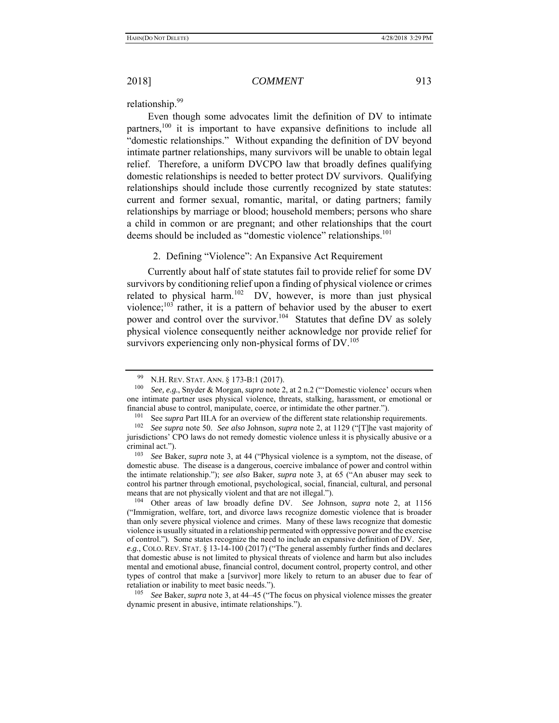relationship.<sup>99</sup>

Even though some advocates limit the definition of DV to intimate partners,  $100$  it is important to have expansive definitions to include all "domestic relationships." Without expanding the definition of DV beyond intimate partner relationships, many survivors will be unable to obtain legal relief. Therefore, a uniform DVCPO law that broadly defines qualifying domestic relationships is needed to better protect DV survivors. Qualifying relationships should include those currently recognized by state statutes: current and former sexual, romantic, marital, or dating partners; family relationships by marriage or blood; household members; persons who share a child in common or are pregnant; and other relationships that the court deems should be included as "domestic violence" relationships.<sup>101</sup>

2. Defining "Violence": An Expansive Act Requirement

Currently about half of state statutes fail to provide relief for some DV survivors by conditioning relief upon a finding of physical violence or crimes related to physical harm.<sup>102</sup> DV, however, is more than just physical violence;<sup>103</sup> rather, it is a pattern of behavior used by the abuser to exert power and control over the survivor.<sup>104</sup> Statutes that define DV as solely physical violence consequently neither acknowledge nor provide relief for survivors experiencing only non-physical forms of  $DV^{105}$ .

105 *See* Baker, *supra* note 3, at 44–45 ("The focus on physical violence misses the greater dynamic present in abusive, intimate relationships.").

<sup>99</sup> N.H. REV. STAT. ANN. § 173-B:1 (2017).

<sup>100</sup> *See, e.g.*, Snyder & Morgan, *supra* note 2, at 2 n.2 ("'Domestic violence' occurs when one intimate partner uses physical violence, threats, stalking, harassment, or emotional or financial abuse to control, manipulate, coerce, or intimidate the other partner.").

<sup>&</sup>lt;sup>101</sup> See *supra* Part III.A for an overview of the different state relationship requirements.

<sup>102</sup> *See supra* note 50. *See also* Johnson, *supra* note 2, at 1129 ("[T]he vast majority of jurisdictions' CPO laws do not remedy domestic violence unless it is physically abusive or a criminal act.").

<sup>103</sup> *See* Baker, *supra* note 3, at 44 ("Physical violence is a symptom, not the disease, of domestic abuse. The disease is a dangerous, coercive imbalance of power and control within the intimate relationship."); *see also* Baker, *supra* note 3, at 65 ("An abuser may seek to control his partner through emotional, psychological, social, financial, cultural, and personal means that are not physically violent and that are not illegal.").

<sup>104</sup> Other areas of law broadly define DV. *See* Johnson, *supra* note 2, at 1156 ("Immigration, welfare, tort, and divorce laws recognize domestic violence that is broader than only severe physical violence and crimes. Many of these laws recognize that domestic violence is usually situated in a relationship permeated with oppressive power and the exercise of control."). Some states recognize the need to include an expansive definition of DV. *See, e.g.*, COLO. REV. STAT. § 13-14-100 (2017) ("The general assembly further finds and declares that domestic abuse is not limited to physical threats of violence and harm but also includes mental and emotional abuse, financial control, document control, property control, and other types of control that make a [survivor] more likely to return to an abuser due to fear of retaliation or inability to meet basic needs.").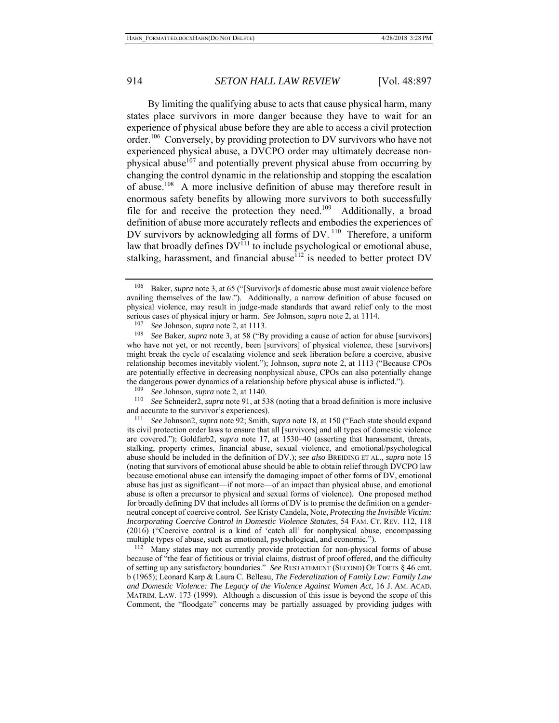By limiting the qualifying abuse to acts that cause physical harm, many states place survivors in more danger because they have to wait for an experience of physical abuse before they are able to access a civil protection order.<sup>106</sup> Conversely, by providing protection to DV survivors who have not experienced physical abuse, a DVCPO order may ultimately decrease nonphysical abuse<sup>107</sup> and potentially prevent physical abuse from occurring by changing the control dynamic in the relationship and stopping the escalation of abuse.<sup>108</sup> A more inclusive definition of abuse may therefore result in enormous safety benefits by allowing more survivors to both successfully file for and receive the protection they need.<sup>109</sup> Additionally, a broad definition of abuse more accurately reflects and embodies the experiences of DV survivors by acknowledging all forms of DV.<sup>110</sup> Therefore, a uniform law that broadly defines  $DV^{111}$  to include psychological or emotional abuse, stalking, harassment, and financial abuse $^{112}$  is needed to better protect DV

110 *See* Schneider2, *supra* note 91, at 538 (noting that a broad definition is more inclusive and accurate to the survivor's experiences). 111 *See* Johnson2, *supra* note 92; Smith, *supra* note 18, at 150 ("Each state should expand

its civil protection order laws to ensure that all [survivors] and all types of domestic violence are covered."); Goldfarb2, *supra* note 17, at 1530–40 (asserting that harassment, threats, stalking, property crimes, financial abuse, sexual violence, and emotional/psychological abuse should be included in the definition of DV.); *see also* BREIDING ET AL., *supra* note 15 (noting that survivors of emotional abuse should be able to obtain relief through DVCPO law because emotional abuse can intensify the damaging impact of other forms of DV, emotional abuse has just as significant—if not more—of an impact than physical abuse, and emotional abuse is often a precursor to physical and sexual forms of violence). One proposed method for broadly defining DV that includes all forms of DV is to premise the definition on a genderneutral concept of coercive control. *See* Kristy Candela, Note, *Protecting the Invisible Victim: Incorporating Coercive Control in Domestic Violence Statutes*, 54 FAM. CT. REV. 112, 118 (2016) ("Coercive control is a kind of 'catch all' for nonphysical abuse, encompassing multiple types of abuse, such as emotional, psychological, and economic.").<br><sup>112</sup> Many states may not currently provide protection for non-physical forms of abuse

because of "the fear of fictitious or trivial claims, distrust of proof offered, and the difficulty of setting up any satisfactory boundaries." *See* RESTATEMENT (SECOND) OF TORTS § 46 cmt. b (1965); Leonard Karp & Laura C. Belleau, *The Federalization of Family Law: Family Law and Domestic Violence: The Legacy of the Violence Against Women Act*, 16 J. AM. ACAD. MATRIM. LAW. 173 (1999). Although a discussion of this issue is beyond the scope of this Comment, the "floodgate" concerns may be partially assuaged by providing judges with

<sup>106</sup> Baker, *supra* note 3, at 65 ("[Survivor]s of domestic abuse must await violence before availing themselves of the law."). Additionally, a narrow definition of abuse focused on physical violence, may result in judge-made standards that award relief only to the most serious cases of physical injury or harm. *See* Johnson, *supra* note 2, at 1114.

<sup>&</sup>lt;sup>107</sup> *See* Johnson, *supra* note 2, at 1113.<br><sup>108</sup> *See Baker, supra* note 3, at 58 ("By

See Baker, *supra* note 3, at 58 ("By providing a cause of action for abuse [survivors] who have not yet, or not recently, been [survivors] of physical violence, these [survivors] might break the cycle of escalating violence and seek liberation before a coercive, abusive relationship becomes inevitably violent."); Johnson*, supra* note 2, at 1113 ("Because CPOs are potentially effective in decreasing nonphysical abuse, CPOs can also potentially change the dangerous power dynamics of a relationship before physical abuse is inflicted.").

<sup>109</sup> *See* Johnson, *supra* note 2, at 1140.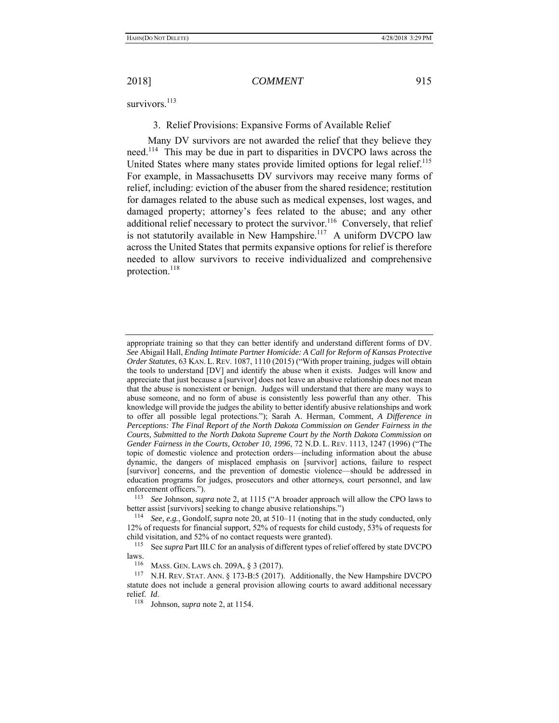survivors.<sup>113</sup>

# 3. Relief Provisions: Expansive Forms of Available Relief

Many DV survivors are not awarded the relief that they believe they need.114 This may be due in part to disparities in DVCPO laws across the United States where many states provide limited options for legal relief.<sup>115</sup> For example, in Massachusetts DV survivors may receive many forms of relief, including: eviction of the abuser from the shared residence; restitution for damages related to the abuse such as medical expenses, lost wages, and damaged property; attorney's fees related to the abuse; and any other additional relief necessary to protect the survivor.<sup>116</sup> Conversely, that relief is not statutorily available in New Hampshire.<sup>117</sup> A uniform DVCPO law across the United States that permits expansive options for relief is therefore needed to allow survivors to receive individualized and comprehensive protection.<sup>118</sup>

appropriate training so that they can better identify and understand different forms of DV. *See* Abigail Hall, *Ending Intimate Partner Homicide: A Call for Reform of Kansas Protective Order Statutes*, 63 KAN. L. REV. 1087, 1110 (2015) ("With proper training, judges will obtain the tools to understand [DV] and identify the abuse when it exists. Judges will know and appreciate that just because a [survivor] does not leave an abusive relationship does not mean that the abuse is nonexistent or benign. Judges will understand that there are many ways to abuse someone, and no form of abuse is consistently less powerful than any other. This knowledge will provide the judges the ability to better identify abusive relationships and work to offer all possible legal protections."); Sarah A. Herman, Comment, *A Difference in Perceptions: The Final Report of the North Dakota Commission on Gender Fairness in the Courts, Submitted to the North Dakota Supreme Court by the North Dakota Commission on Gender Fairness in the Courts, October 10, 1996*, 72 N.D. L. REV. 1113, 1247 (1996) ("The topic of domestic violence and protection orders—including information about the abuse dynamic, the dangers of misplaced emphasis on [survivor] actions, failure to respect [survivor] concerns, and the prevention of domestic violence—should be addressed in education programs for judges, prosecutors and other attorneys, court personnel, and law enforcement officers.").

<sup>&</sup>lt;sup>113</sup> *See* Johnson, *supra* note 2, at 1115 ("A broader approach will allow the CPO laws to better assist [survivors] seeking to change abusive relationships.")

<sup>&</sup>lt;sup>114</sup> *See, e.g.*, Gondolf, *supra* note 20, at 510–11 (noting that in the study conducted, only 12% of requests for financial support, 52% of requests for child custody, 53% of requests for child visitation, and 52% of no contact requests were granted). 115 See *supra* Part III.C for an analysis of different types of relief offered by state DVCPO

laws.<br> $\frac{116}{116}$ 

MASS. GEN. LAWS ch. 209A, § 3 (2017).

<sup>117</sup> N.H. REV. STAT. ANN. § 173-B:5 (2017). Additionally, the New Hampshire DVCPO statute does not include a general provision allowing courts to award additional necessary relief. *Id*. 118 Johnson, *supra* note 2, at 1154.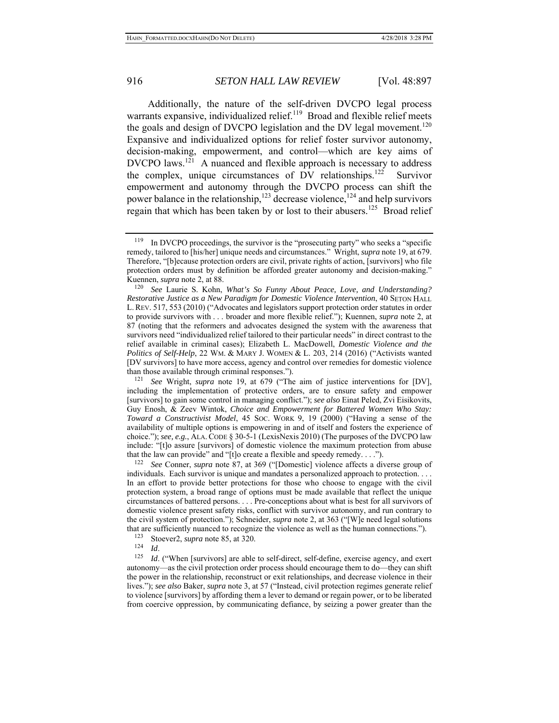Additionally, the nature of the self-driven DVCPO legal process warrants expansive, individualized relief.<sup>119</sup> Broad and flexible relief meets the goals and design of DVCPO legislation and the DV legal movement.<sup>120</sup> Expansive and individualized options for relief foster survivor autonomy, decision-making, empowerment, and control—which are key aims of DVCPO laws.<sup>121</sup> A nuanced and flexible approach is necessary to address the complex, unique circumstances of DV relationships.<sup>122</sup> Survivor empowerment and autonomy through the DVCPO process can shift the power balance in the relationship,<sup>123</sup> decrease violence,<sup>124</sup> and help survivors regain that which has been taken by or lost to their abusers.<sup>125</sup> Broad relief

individuals. Each survivor is unique and mandates a personalized approach to protection. . . . In an effort to provide better protections for those who choose to engage with the civil protection system, a broad range of options must be made available that reflect the unique circumstances of battered persons. . . . Pre-conceptions about what is best for all survivors of domestic violence present safety risks, conflict with survivor autonomy, and run contrary to the civil system of protection."); Schneider, *supra* note 2, at 363 ("[W]e need legal solutions that are sufficiently nuanced to recognize the violence as well as the human connections.").<br> $^{123}$  Stogyer2, sunge note 85, at 320.

<sup>123</sup> Stoever2, *supra* note 85, at 320.<br><sup>124</sup> *Id.* ("When [survivors] are able to self-direct, self-define, exercise agency, and exert <sup>125</sup> *Id.* ("When [survivors] are able to self-direct, self-define, exercise agency, autonomy—as the civil protection order process should encourage them to do—they can shift the power in the relationship, reconstruct or exit relationships, and decrease violence in their lives."); *see also* Baker, *supra* note 3, at 57 ("Instead, civil protection regimes generate relief to violence [survivors] by affording them a lever to demand or regain power, or to be liberated from coercive oppression, by communicating defiance, by seizing a power greater than the

<sup>&</sup>lt;sup>119</sup> In DVCPO proceedings, the survivor is the "prosecuting party" who seeks a "specific remedy, tailored to [his/her] unique needs and circumstances." Wright, *supra* note 19, at 679. Therefore, "[b]ecause protection orders are civil, private rights of action, [survivors] who file protection orders must by definition be afforded greater autonomy and decision-making." Kuennen, *supra* note 2, at 88.

<sup>120</sup> *See* Laurie S. Kohn, *What's So Funny About Peace, Love, and Understanding? Restorative Justice as a New Paradigm for Domestic Violence Intervention*, 40 SETON HALL L. REV. 517, 553 (2010) ("Advocates and legislators support protection order statutes in order to provide survivors with . . . broader and more flexible relief."); Kuennen, *supra* note 2, at 87 (noting that the reformers and advocates designed the system with the awareness that survivors need "individualized relief tailored to their particular needs" in direct contrast to the relief available in criminal cases); Elizabeth L. MacDowell, *Domestic Violence and the Politics of Self-Help*, 22 WM. & MARY J. WOMEN & L. 203, 214 (2016) ("Activists wanted [DV survivors] to have more access, agency and control over remedies for domestic violence than those available through criminal responses."). 121 *See* Wright, *supra* note 19, at 679 ("The aim of justice interventions for [DV],

including the implementation of protective orders, are to ensure safety and empower [survivors] to gain some control in managing conflict."); *see also* Einat Peled, Zvi Eisikovits, Guy Enosh, & Zeev Wintok, *Choice and Empowerment for Battered Women Who Stay: Toward a Constructivist Model*, 45 SOC. WORK 9, 19 (2000) ("Having a sense of the availability of multiple options is empowering in and of itself and fosters the experience of choice."); *see, e.g.*, ALA. CODE § 30-5-1 (LexisNexis 2010) (The purposes of the DVCPO law include: "[t]o assure [survivors] of domestic violence the maximum protection from abuse that the law can provide" and "[t]o create a flexible and speedy remedy. . . ."). 122 *See* Conner, *supra* note 87, at 369 ("[Domestic] violence affects a diverse group of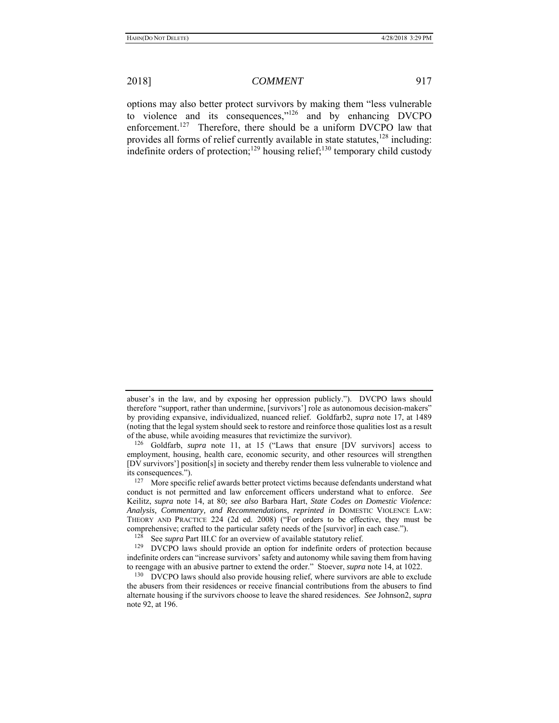options may also better protect survivors by making them "less vulnerable to violence and its consequences,"126 and by enhancing DVCPO enforcement.<sup>127</sup> Therefore, there should be a uniform DVCPO law that provides all forms of relief currently available in state statutes, $128$  including: indefinite orders of protection;<sup>129</sup> housing relief;<sup>130</sup> temporary child custody

abuser's in the law, and by exposing her oppression publicly."). DVCPO laws should therefore "support, rather than undermine, [survivors'] role as autonomous decision-makers" by providing expansive, individualized, nuanced relief. Goldfarb2, *supra* note 17, at 1489 (noting that the legal system should seek to restore and reinforce those qualities lost as a result of the abuse, while avoiding measures that revictimize the survivor).

<sup>126</sup> Goldfarb, *supra* note 11, at 15 ("Laws that ensure [DV survivors] access to employment, housing, health care, economic security, and other resources will strengthen [DV survivors'] position[s] in society and thereby render them less vulnerable to violence and its consequences.").

 $127$  More specific relief awards better protect victims because defendants understand what conduct is not permitted and law enforcement officers understand what to enforce. *See* Keilitz, *supra* note 14, at 80; *see also* Barbara Hart, *State Codes on Domestic Violence: Analysis, Commentary, and Recommendations*, *reprinted in* DOMESTIC VIOLENCE LAW: THEORY AND PRACTICE 224 (2d ed. 2008) ("For orders to be effective, they must be comprehensive; crafted to the particular safety needs of the [survivor] in each case.").<br> $^{128}$  See sungs Part III C for an overview of available statutory relief

See *supra* Part III.C for an overview of available statutory relief.

<sup>&</sup>lt;sup>129</sup> DVCPO laws should provide an option for indefinite orders of protection because indefinite orders can "increase survivors' safety and autonomy while saving them from having to reengage with an abusive partner to extend the order." Stoever, *supra* note 14, at 1022.

<sup>&</sup>lt;sup>130</sup> DVCPO laws should also provide housing relief, where survivors are able to exclude the abusers from their residences or receive financial contributions from the abusers to find alternate housing if the survivors choose to leave the shared residences. *See* Johnson2, *supra* note 92, at 196.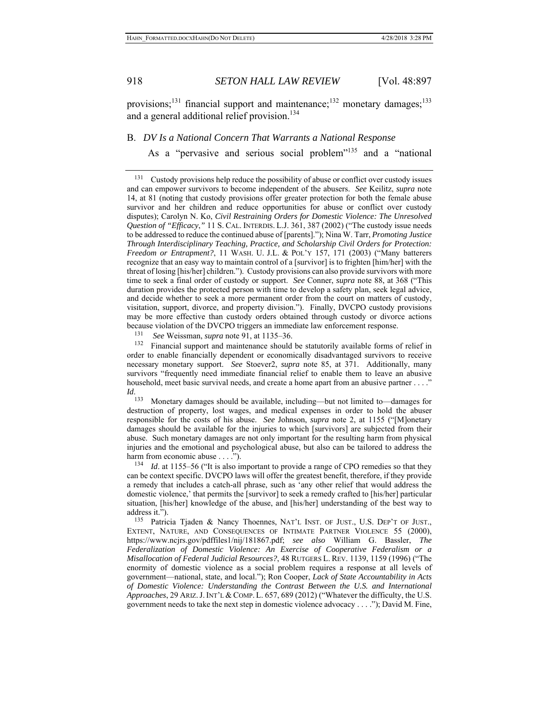provisions;<sup>131</sup> financial support and maintenance;<sup>132</sup> monetary damages;<sup>133</sup> and a general additional relief provision.<sup>134</sup>

# B. *DV Is a National Concern That Warrants a National Response*

As a "pervasive and serious social problem"135 and a "national

<sup>131</sup> Custody provisions help reduce the possibility of abuse or conflict over custody issues and can empower survivors to become independent of the abusers. *See* Keilitz, *supra* note 14, at 81 (noting that custody provisions offer greater protection for both the female abuse survivor and her children and reduce opportunities for abuse or conflict over custody disputes); Carolyn N. Ko, *Civil Restraining Orders for Domestic Violence: The Unresolved Question of "Efficacy*,*"* 11 S. CAL. INTERDIS. L.J. 361, 387 (2002) ("The custody issue needs to be addressed to reduce the continued abuse of [parents]."); Nina W. Tarr, *Promoting Justice Through Interdisciplinary Teaching, Practice, and Scholarship Civil Orders for Protection: Freedom or Entrapment?*, 11 WASH. U. J.L. & POL'Y 157, 171 (2003) ("Many batterers recognize that an easy way to maintain control of a [survivor] is to frighten [him/her] with the threat of losing [his/her] children."). Custody provisions can also provide survivors with more time to seek a final order of custody or support. *See* Conner, *supra* note 88, at 368 ("This duration provides the protected person with time to develop a safety plan, seek legal advice, and decide whether to seek a more permanent order from the court on matters of custody, visitation, support, divorce, and property division."). Finally, DVCPO custody provisions may be more effective than custody orders obtained through custody or divorce actions because violation of the DVCPO triggers an immediate law enforcement response.

131 *See* Weissman, *supra* note 91, at 1135–36.

<sup>132</sup> Financial support and maintenance should be statutorily available forms of relief in order to enable financially dependent or economically disadvantaged survivors to receive necessary monetary support. *See* Stoever2, *supra* note 85, at 371. Additionally, many survivors "frequently need immediate financial relief to enable them to leave an abusive household, meet basic survival needs, and create a home apart from an abusive partner . . . ." *Id*.

Monetary damages should be available, including—but not limited to—damages for destruction of property, lost wages, and medical expenses in order to hold the abuser responsible for the costs of his abuse. *See* Johnson, *supra* note 2, at 1155 ("[M]onetary damages should be available for the injuries to which [survivors] are subjected from their abuse. Such monetary damages are not only important for the resulting harm from physical injuries and the emotional and psychological abuse, but also can be tailored to address the harm from economic abuse . . . .").

<sup>134</sup> *Id.* at 1155–56 ("It is also important to provide a range of CPO remedies so that they can be context specific. DVCPO laws will offer the greatest benefit, therefore, if they provide a remedy that includes a catch-all phrase, such as 'any other relief that would address the domestic violence,' that permits the [survivor] to seek a remedy crafted to [his/her] particular situation, [his/her] knowledge of the abuse, and [his/her] understanding of the best way to address it.").

135 Patricia Tjaden & Nancy Thoennes, NAT'L INST. OF JUST., U.S. DEP'T OF JUST., EXTENT, NATURE, AND CONSEQUENCES OF INTIMATE PARTNER VIOLENCE 55 (2000), https://www.ncjrs.gov/pdffiles1/nij/181867.pdf; *see also* William G. Bassler, *The Federalization of Domestic Violence: An Exercise of Cooperative Federalism or a Misallocation of Federal Judicial Resources?*, 48 RUTGERS L. REV. 1139, 1159 (1996) ("The enormity of domestic violence as a social problem requires a response at all levels of government—national, state, and local."); Ron Cooper, *Lack of State Accountability in Acts of Domestic Violence: Understanding the Contrast Between the U.S. and International Approaches*, 29 ARIZ.J. INT'L & COMP. L. 657, 689 (2012) ("Whatever the difficulty, the U.S. government needs to take the next step in domestic violence advocacy . . . ."); David M. Fine,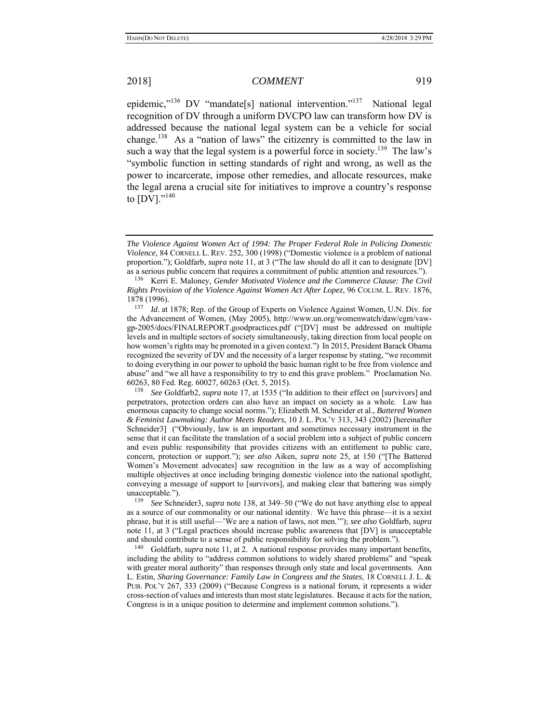epidemic,"<sup>136</sup> DV "mandate[s] national intervention."<sup>137</sup> National legal recognition of DV through a uniform DVCPO law can transform how DV is addressed because the national legal system can be a vehicle for social change.138 As a "nation of laws" the citizenry is committed to the law in such a way that the legal system is a powerful force in society.<sup>139</sup> The law's "symbolic function in setting standards of right and wrong, as well as the power to incarcerate, impose other remedies, and allocate resources, make the legal arena a crucial site for initiatives to improve a country's response to  $[DV]$ ."<sup>140</sup>

139 *See* Schneider3, *supra* note 138, at 349–50 ("We do not have anything else to appeal as a source of our commonality or our national identity. We have this phrase—it is a sexist phrase, but it is still useful—'We are a nation of laws, not men.'"); *see also* Goldfarb, *supra* note 11, at 3 ("Legal practices should increase public awareness that [DV] is unacceptable and should contribute to a sense of public responsibility for solving the problem.").

140 Goldfarb, *supra* note 11, at 2. A national response provides many important benefits, including the ability to "address common solutions to widely shared problems" and "speak with greater moral authority" than responses through only state and local governments. Ann L. Estin, *Sharing Governance: Family Law in Congress and the States*, 18 CORNELL J. L. & PUB. POL'Y 267, 333 (2009) ("Because Congress is a national forum, it represents a wider cross-section of values and interests than most state legislatures. Because it acts for the nation, Congress is in a unique position to determine and implement common solutions.").

*The Violence Against Women Act of 1994: The Proper Federal Role in Policing Domestic Violence,* 84 CORNELL L. REV. 252, 300 (1998) ("Domestic violence is a problem of national proportion."); Goldfarb, *supra* note 11, at 3 ("The law should do all it can to designate [DV] as a serious public concern that requires a commitment of public attention and resources.").

<sup>136</sup> Kerri E. Maloney, *Gender Motivated Violence and the Commerce Clause: The Civil Rights Provision of the Violence Against Women Act After Lopez*, 96 COLUM. L. REV. 1876, 1878 (1996).

<sup>137</sup> *Id*. at 1878; Rep. of the Group of Experts on Violence Against Women, U.N. Div. for the Advancement of Women, (May 2005), http://www.un.org/womenwatch/daw/egm/vawgp-2005/docs/FINALREPORT.goodpractices.pdf ("[DV] must be addressed on multiple levels and in multiple sectors of society simultaneously, taking direction from local people on how women's rights may be promoted in a given context.") In 2015, President Barack Obama recognized the severity of DV and the necessity of a larger response by stating, "we recommit to doing everything in our power to uphold the basic human right to be free from violence and abuse" and "we all have a responsibility to try to end this grave problem." Proclamation No. 60263, 80 Fed. Reg. 60027, 60263 (Oct. 5, 2015).<br><sup>138</sup> See Goldforb2, sunga pote 17, et 1535 ("In

See Goldfarb2, *supra* note 17, at 1535 ("In addition to their effect on [survivors] and perpetrators, protection orders can also have an impact on society as a whole. Law has enormous capacity to change social norms."); Elizabeth M. Schneider et al., *Battered Women & Feminist Lawmaking: Author Meets Readers*, 10 J. L. POL'Y 313, 343 (2002) [hereinafter Schneider3] ("Obviously, law is an important and sometimes necessary instrument in the sense that it can facilitate the translation of a social problem into a subject of public concern and even public responsibility that provides citizens with an entitlement to public care, concern, protection or support."); *see also* Aiken, *supra* note 25, at 150 ("[The Battered Women's Movement advocates] saw recognition in the law as a way of accomplishing multiple objectives at once including bringing domestic violence into the national spotlight, conveying a message of support to [survivors], and making clear that battering was simply unacceptable.").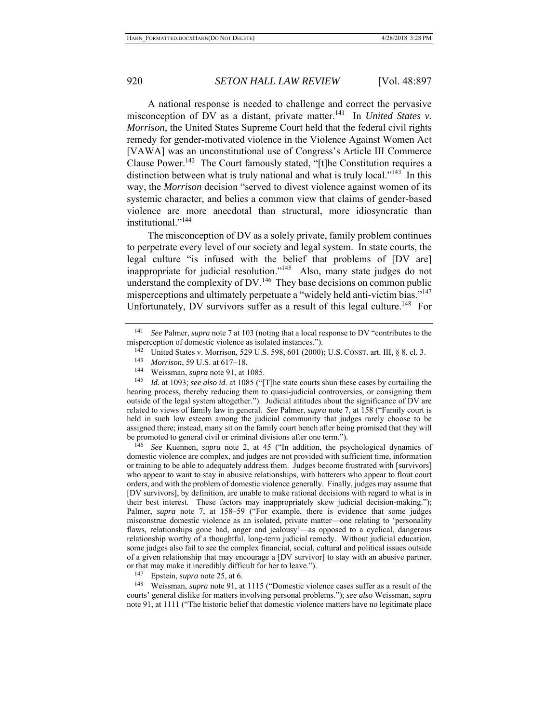A national response is needed to challenge and correct the pervasive misconception of DV as a distant, private matter.<sup>141</sup> In *United States v*. *Morrison*, the United States Supreme Court held that the federal civil rights remedy for gender-motivated violence in the Violence Against Women Act [VAWA] was an unconstitutional use of Congress's Article III Commerce Clause Power.<sup>142</sup> The Court famously stated, "[t]he Constitution requires a distinction between what is truly national and what is truly local."<sup>143</sup> In this way, the *Morrison* decision "served to divest violence against women of its systemic character, and belies a common view that claims of gender-based violence are more anecdotal than structural, more idiosyncratic than institutional."<sup>144</sup>

The misconception of DV as a solely private, family problem continues to perpetrate every level of our society and legal system. In state courts, the legal culture "is infused with the belief that problems of [DV are] inappropriate for judicial resolution."<sup>145</sup> Also, many state judges do not understand the complexity of DV.<sup>146</sup> They base decisions on common public misperceptions and ultimately perpetuate a "widely held anti-victim bias."<sup>147</sup> Unfortunately, DV survivors suffer as a result of this legal culture.<sup>148</sup> For

146 *See* Kuennen, *supra* note 2, at 45 ("In addition, the psychological dynamics of domestic violence are complex, and judges are not provided with sufficient time, information or training to be able to adequately address them. Judges become frustrated with [survivors] who appear to want to stay in abusive relationships, with batterers who appear to flout court orders, and with the problem of domestic violence generally. Finally, judges may assume that [DV survivors], by definition, are unable to make rational decisions with regard to what is in their best interest. These factors may inappropriately skew judicial decision-making."); Palmer, *supra* note 7, at 158–59 ("For example, there is evidence that some judges misconstrue domestic violence as an isolated, private matter—one relating to 'personality flaws, relationships gone bad, anger and jealousy'—as opposed to a cyclical, dangerous relationship worthy of a thoughtful, long-term judicial remedy. Without judicial education, some judges also fail to see the complex financial, social, cultural and political issues outside of a given relationship that may encourage a [DV survivor] to stay with an abusive partner, or that may make it incredibly difficult for her to leave.").

<sup>147</sup> Epstein, *supra* note 25, at 6.<br><sup>148</sup> Weissman, supra note 01, at

Weissman, *supra* note 91, at 1115 ("Domestic violence cases suffer as a result of the courts' general dislike for matters involving personal problems."); *see also* Weissman, *supra* note 91, at 1111 ("The historic belief that domestic violence matters have no legitimate place

<sup>141</sup> *See* Palmer, *supra* note 7 at 103 (noting that a local response to DV "contributes to the misperception of domestic violence as isolated instances.").<br><sup>142</sup> United States v. Morrison, 529 U.S. 598, 601 (2000); U.S. CONST. art. III, § 8, cl. 3.

<sup>143</sup> *Morrison*, 59 U.S. at 617–18.<br>
<sup>144</sup> Weissman, *supra* note 91, at 1085.<br>
<sup>145</sup> *Id.* at 1093; see also id. at 1085. ("

*Id.* at 1093; see also id. at 1085 ("[T]he state courts shun these cases by curtailing the hearing process, thereby reducing them to quasi-judicial controversies, or consigning them outside of the legal system altogether."). Judicial attitudes about the significance of DV are related to views of family law in general. *See* Palmer, *supra* note 7, at 158 ("Family court is held in such low esteem among the judicial community that judges rarely choose to be assigned there; instead, many sit on the family court bench after being promised that they will be promoted to general civil or criminal divisions after one term.").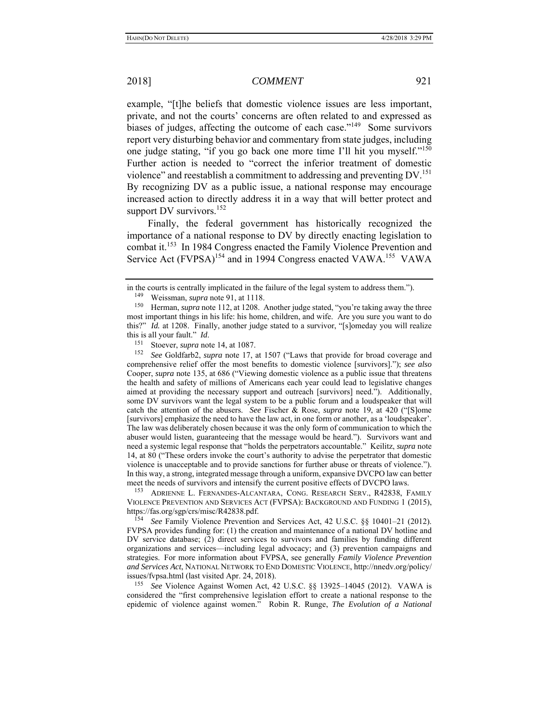example, "[t]he beliefs that domestic violence issues are less important, private, and not the courts' concerns are often related to and expressed as biases of judges, affecting the outcome of each case."<sup>149</sup> Some survivors report very disturbing behavior and commentary from state judges, including one judge stating, "if you go back one more time I'll hit you myself."150 Further action is needed to "correct the inferior treatment of domestic violence" and reestablish a commitment to addressing and preventing  $DV$ .<sup>151</sup> By recognizing DV as a public issue, a national response may encourage increased action to directly address it in a way that will better protect and support DV survivors.<sup>152</sup>

Finally, the federal government has historically recognized the importance of a national response to DV by directly enacting legislation to combat it.153 In 1984 Congress enacted the Family Violence Prevention and Service Act (FVPSA)<sup>154</sup> and in 1994 Congress enacted VAWA.<sup>155</sup> VAWA

<sup>152</sup> *See* Goldfarb2, *supra* note 17, at 1507 ("Laws that provide for broad coverage and comprehensive relief offer the most benefits to domestic violence [survivors]."); *see also* Cooper, *supra* note 135, at 686 ("Viewing domestic violence as a public issue that threatens the health and safety of millions of Americans each year could lead to legislative changes aimed at providing the necessary support and outreach [survivors] need."). Additionally, some DV survivors want the legal system to be a public forum and a loudspeaker that will catch the attention of the abusers. *See* Fischer & Rose, *supra* note 19, at 420 ("[S]ome [survivors] emphasize the need to have the law act, in one form or another, as a 'loudspeaker'. The law was deliberately chosen because it was the only form of communication to which the abuser would listen, guaranteeing that the message would be heard."). Survivors want and need a systemic legal response that "holds the perpetrators accountable." Keilitz, *supra* note 14, at 80 ("These orders invoke the court's authority to advise the perpetrator that domestic violence is unacceptable and to provide sanctions for further abuse or threats of violence."). In this way, a strong, integrated message through a uniform, expansive DVCPO law can better meet the needs of survivors and intensify the current positive effects of DVCPO laws.

153 ADRIENNE L. FERNANDES-ALCANTARA, CONG. RESEARCH SERV., R42838, FAMILY VIOLENCE PREVENTION AND SERVICES ACT (FVPSA): BACKGROUND AND FUNDING 1 (2015), https://fas.org/sgp/crs/misc/R42838.pdf.

<sup>154</sup> *See* Family Violence Prevention and Services Act, 42 U.S.C. §§ 10401–21 (2012). FVPSA provides funding for: (1) the creation and maintenance of a national DV hotline and DV service database; (2) direct services to survivors and families by funding different organizations and services—including legal advocacy; and (3) prevention campaigns and strategies. For more information about FVPSA, see generally *Family Violence Prevention and Services Act*, NATIONAL NETWORK TO END DOMESTIC VIOLENCE, http://nnedv.org/policy/ issues/fypsa.html (last visited Apr. 24, 2018).<br> $\frac{155}{25}$  See Vislance Against Women Act A

155 *See* Violence Against Women Act, 42 U.S.C. §§ 13925–14045 (2012). VAWA is considered the "first comprehensive legislation effort to create a national response to the epidemic of violence against women." Robin R. Runge, *The Evolution of a National* 

in the courts is centrally implicated in the failure of the legal system to address them.").<br> $\frac{149}{149}$  Weissman, sung note 91, et 1118

Weissman, *supra* note 91, at 1118.

<sup>150</sup> Herman, *supra* note 112, at 1208. Another judge stated, "you're taking away the three most important things in his life: his home, children, and wife. Are you sure you want to do this?"  $Id.$  at 1208. Finally, another judge stated to a survivor, "[s]omeday you will realize this is all your fault."  $Id.$ 

<sup>&</sup>lt;sup>151</sup> Stoever, *supra* note 14, at 1087.<br><sup>152</sup> See Goldfarb2, *supra* note 17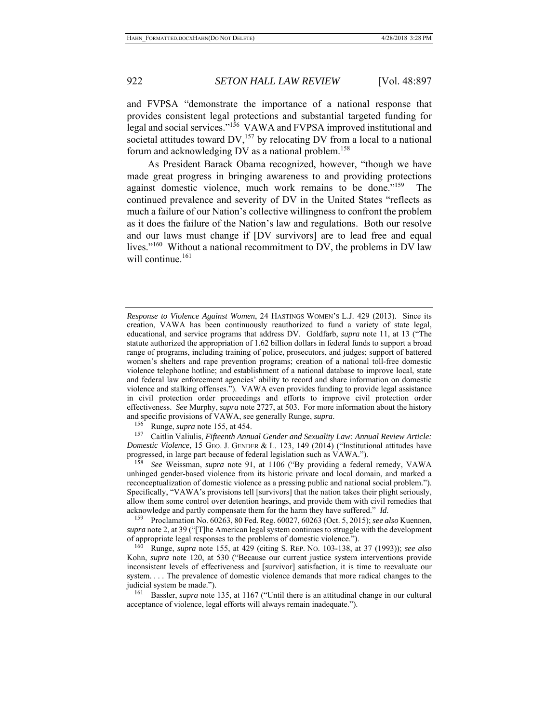and FVPSA "demonstrate the importance of a national response that provides consistent legal protections and substantial targeted funding for legal and social services."156 VAWA and FVPSA improved institutional and societal attitudes toward DV,<sup>157</sup> by relocating DV from a local to a national forum and acknowledging DV as a national problem.<sup>158</sup>

As President Barack Obama recognized, however, "though we have made great progress in bringing awareness to and providing protections against domestic violence, much work remains to be done."159 The continued prevalence and severity of DV in the United States "reflects as much a failure of our Nation's collective willingness to confront the problem as it does the failure of the Nation's law and regulations. Both our resolve and our laws must change if [DV survivors] are to lead free and equal lives."<sup>160</sup> Without a national recommitment to DV, the problems in DV law will continue. $161$ 

157 Caitlin Valiulis, *Fifteenth Annual Gender and Sexuality Law: Annual Review Article: Domestic Violence*, 15 GEO. J. GENDER & L. 123, 149 (2014) ("Institutional attitudes have progressed, in large part because of federal legislation such as VAWA.").

158 *See* Weissman, *supra* note 91, at 1106 ("By providing a federal remedy, VAWA unhinged gender-based violence from its historic private and local domain, and marked a reconceptualization of domestic violence as a pressing public and national social problem."). Specifically, "VAWA's provisions tell [survivors] that the nation takes their plight seriously, allow them some control over detention hearings, and provide them with civil remedies that acknowledge and partly compensate them for the harm they have suffered." *Id*. 159 Proclamation No. 60263, 80 Fed. Reg. 60027, 60263 (Oct. 5, 2015); *see also* Kuennen,

*supra* note 2, at 39 ("[T]he American legal system continues to struggle with the development of appropriate legal responses to the problems of domestic violence.").

160 Runge, *supra* note 155, at 429 (citing S. REP. NO. 103-138, at 37 (1993)); *see also* Kohn, *supra* note 120, at 530 ("Because our current justice system interventions provide inconsistent levels of effectiveness and [survivor] satisfaction, it is time to reevaluate our system. . . . The prevalence of domestic violence demands that more radical changes to the judicial system be made.").

161 Bassler, *supra* note 135, at 1167 ("Until there is an attitudinal change in our cultural acceptance of violence, legal efforts will always remain inadequate.").

*Response to Violence Against Women*, 24 HASTINGS WOMEN'S L.J. 429 (2013). Since its creation, VAWA has been continuously reauthorized to fund a variety of state legal, educational, and service programs that address DV. Goldfarb, *supra* note 11, at 13 ("The statute authorized the appropriation of 1.62 billion dollars in federal funds to support a broad range of programs, including training of police, prosecutors, and judges; support of battered women's shelters and rape prevention programs; creation of a national toll-free domestic violence telephone hotline; and establishment of a national database to improve local, state and federal law enforcement agencies' ability to record and share information on domestic violence and stalking offenses."). VAWA even provides funding to provide legal assistance in civil protection order proceedings and efforts to improve civil protection order effectiveness. *See* Murphy, *supra* note 2727, at 503. For more information about the history and specific provisions of VAWA, see generally Runge, *supra*. 156 Runge, *supra* note 155, at 454.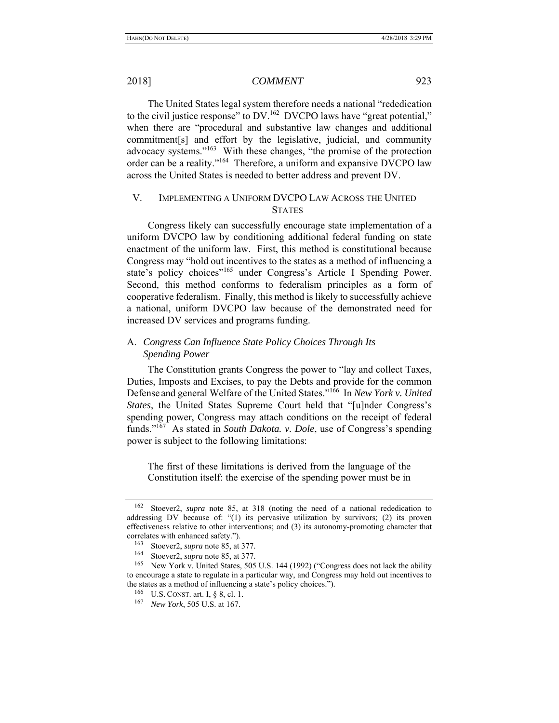The United States legal system therefore needs a national "rededication to the civil justice response" to DV.<sup>162</sup> DVCPO laws have "great potential," when there are "procedural and substantive law changes and additional commitment[s] and effort by the legislative, judicial, and community advocacy systems."163 With these changes, "the promise of the protection order can be a reality."164 Therefore, a uniform and expansive DVCPO law across the United States is needed to better address and prevent DV.

# V. IMPLEMENTING A UNIFORM DVCPO LAW ACROSS THE UNITED **STATES**

Congress likely can successfully encourage state implementation of a uniform DVCPO law by conditioning additional federal funding on state enactment of the uniform law. First, this method is constitutional because Congress may "hold out incentives to the states as a method of influencing a state's policy choices"<sup>165</sup> under Congress's Article I Spending Power. Second, this method conforms to federalism principles as a form of cooperative federalism. Finally, this method is likely to successfully achieve a national, uniform DVCPO law because of the demonstrated need for increased DV services and programs funding.

# A. *Congress Can Influence State Policy Choices Through Its Spending Power*

The Constitution grants Congress the power to "lay and collect Taxes, Duties, Imposts and Excises, to pay the Debts and provide for the common Defense and general Welfare of the United States."166 In *New York v. United States*, the United States Supreme Court held that "[u]nder Congress's spending power, Congress may attach conditions on the receipt of federal funds."167 As stated in *South Dakota. v. Dole*, use of Congress's spending power is subject to the following limitations:

The first of these limitations is derived from the language of the Constitution itself: the exercise of the spending power must be in

<sup>162</sup> Stoever2, *supra* note 85, at 318 (noting the need of a national rededication to addressing DV because of: "(1) its pervasive utilization by survivors; (2) its proven effectiveness relative to other interventions; and (3) its autonomy-promoting character that correlates with enhanced safety.").<br> $\frac{163}{25}$  Storver, sung pote 85 of

<sup>&</sup>lt;sup>163</sup> Stoever2, *supra* note 85, at 377.<br><sup>164</sup> Stoever2, *supra* note 85, at 377.

<sup>&</sup>lt;sup>164</sup> Stoever2, *supra* note 85, at 377.<br><sup>165</sup> New York v. United States, 505.

New York v. United States, 505 U.S. 144 (1992) ("Congress does not lack the ability to encourage a state to regulate in a particular way, and Congress may hold out incentives to the states as a method of influencing a state's policy choices.").

<sup>166</sup> U.S. CONST. art. I, § 8, cl. 1.

<sup>167</sup> *New York*, 505 U.S. at 167.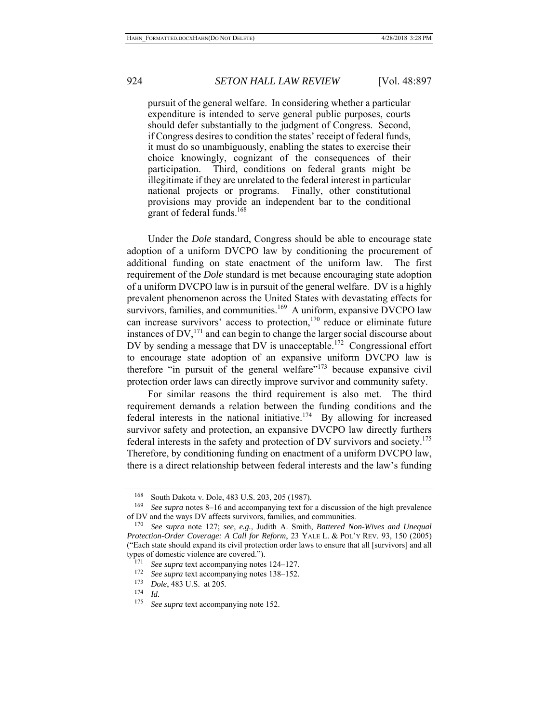pursuit of the general welfare. In considering whether a particular expenditure is intended to serve general public purposes, courts should defer substantially to the judgment of Congress. Second, if Congress desires to condition the states' receipt of federal funds, it must do so unambiguously, enabling the states to exercise their choice knowingly, cognizant of the consequences of their participation. Third, conditions on federal grants might be illegitimate if they are unrelated to the federal interest in particular national projects or programs. Finally, other constitutional provisions may provide an independent bar to the conditional grant of federal funds.<sup>168</sup>

Under the *Dole* standard, Congress should be able to encourage state adoption of a uniform DVCPO law by conditioning the procurement of additional funding on state enactment of the uniform law. The first requirement of the *Dole* standard is met because encouraging state adoption of a uniform DVCPO law is in pursuit of the general welfare. DV is a highly prevalent phenomenon across the United States with devastating effects for survivors, families, and communities.<sup>169</sup> A uniform, expansive DVCPO law can increase survivors' access to protection,  $170$  reduce or eliminate future instances of  $DV<sub>1</sub><sup>171</sup>$  and can begin to change the larger social discourse about DV by sending a message that DV is unacceptable.<sup>172</sup> Congressional effort to encourage state adoption of an expansive uniform DVCPO law is therefore "in pursuit of the general welfare"<sup>173</sup> because expansive civil protection order laws can directly improve survivor and community safety.

For similar reasons the third requirement is also met. The third requirement demands a relation between the funding conditions and the federal interests in the national initiative.<sup>174</sup> By allowing for increased survivor safety and protection, an expansive DVCPO law directly furthers federal interests in the safety and protection of DV survivors and society.<sup>175</sup> Therefore, by conditioning funding on enactment of a uniform DVCPO law, there is a direct relationship between federal interests and the law's funding

<sup>168</sup> South Dakota v. Dole, 483 U.S. 203, 205 (1987).

<sup>169</sup> *See supra* notes 8–16 and accompanying text for a discussion of the high prevalence of DV and the ways DV affects survivors, families, and communities.

<sup>170</sup> *See supra* note 127; *see, e.g.*, Judith A. Smith, *Battered Non-Wives and Unequal Protection-Order Coverage: A Call for Reform*, 23 YALE L. & POL'Y REV. 93, 150 (2005) ("Each state should expand its civil protection order laws to ensure that all [survivors] and all types of domestic violence are covered.").

<sup>&</sup>lt;sup>171</sup> *See supra* text accompanying notes 124–127.<br><sup>172</sup> See supra text accompanying notes 138–152.

<sup>&</sup>lt;sup>172</sup> *See supra* text accompanying notes 138–152.<br><sup>173</sup> *Dole* 483 U.S. at 205

<sup>&</sup>lt;sup>173</sup> *Dole*, 483 U.S. at 205.

 $\frac{174}{175}$  *Id.* 

See supra text accompanying note 152.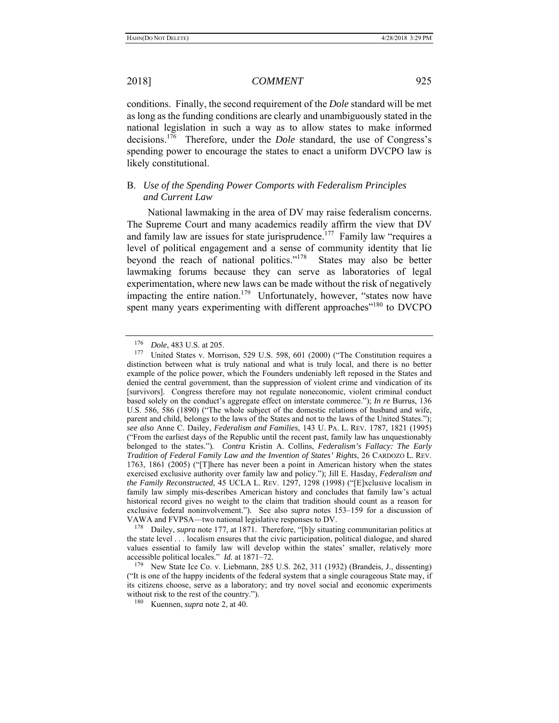conditions. Finally, the second requirement of the *Dole* standard will be met as long as the funding conditions are clearly and unambiguously stated in the national legislation in such a way as to allow states to make informed decisions.176 Therefore, under the *Dole* standard, the use of Congress's spending power to encourage the states to enact a uniform DVCPO law is likely constitutional.

# B. *Use of the Spending Power Comports with Federalism Principles and Current Law*

National lawmaking in the area of DV may raise federalism concerns. The Supreme Court and many academics readily affirm the view that DV and family law are issues for state jurisprudence.<sup>177</sup> Family law "requires a level of political engagement and a sense of community identity that lie beyond the reach of national politics."<sup>178</sup> States may also be better lawmaking forums because they can serve as laboratories of legal experimentation, where new laws can be made without the risk of negatively impacting the entire nation.<sup>179</sup> Unfortunately, however, "states now have spent many years experimenting with different approaches<sup>"180</sup> to DVCPO

<sup>&</sup>lt;sup>176</sup> *Dole*, 483 U.S. at 205.<br><sup>177</sup> I Inited States v Morr

United States v. Morrison, 529 U.S. 598, 601 (2000) ("The Constitution requires a distinction between what is truly national and what is truly local, and there is no better example of the police power, which the Founders undeniably left reposed in the States and denied the central government, than the suppression of violent crime and vindication of its [survivors]. Congress therefore may not regulate noneconomic, violent criminal conduct based solely on the conduct's aggregate effect on interstate commerce."); *In re* Burrus, 136 U.S. 586, 586 (1890) ("The whole subject of the domestic relations of husband and wife, parent and child, belongs to the laws of the States and not to the laws of the United States."); *see also* Anne C. Dailey, *Federalism and Families*, 143 U. PA. L. REV. 1787, 1821 (1995) ("From the earliest days of the Republic until the recent past, family law has unquestionably belonged to the states.")*. Contra* Kristin A. Collins, *Federalism's Fallacy: The Early Tradition of Federal Family Law and the Invention of States' Rights*, 26 CARDOZO L. REV. 1763, 1861 (2005) ("[T]here has never been a point in American history when the states exercised exclusive authority over family law and policy."); Jill E. Hasday, *Federalism and the Family Reconstructed*, 45 UCLA L. REV. 1297, 1298 (1998) ("[E]xclusive localism in family law simply mis-describes American history and concludes that family law's actual historical record gives no weight to the claim that tradition should count as a reason for exclusive federal noninvolvement."). See also *supra* notes 153–159 for a discussion of VAWA and FVPSA—two national legislative responses to DV.

<sup>&</sup>lt;sup>178</sup> Dailey, *supra* note 177, at 1871. Therefore, "[b]y situating communitarian politics at the state level . . . localism ensures that the civic participation, political dialogue, and shared values essential to family law will develop within the states' smaller, relatively more accessible political locales." *Id.* at 1871–72.

<sup>179</sup> New State Ice Co. v. Liebmann, 285 U.S. 262, 311 (1932) (Brandeis, J., dissenting) ("It is one of the happy incidents of the federal system that a single courageous State may, if its citizens choose, serve as a laboratory; and try novel social and economic experiments without risk to the rest of the country.").

<sup>180</sup> Kuennen, *supra* note 2, at 40.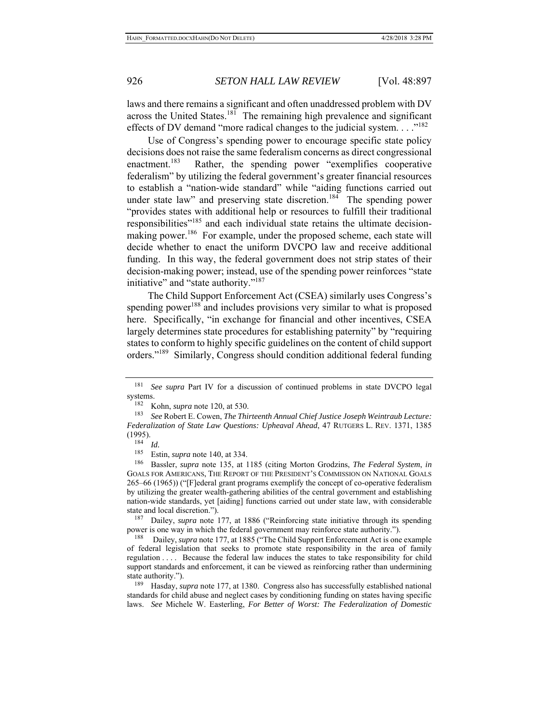laws and there remains a significant and often unaddressed problem with DV across the United States.<sup>181</sup> The remaining high prevalence and significant effects of DV demand "more radical changes to the judicial system.  $\ldots$ <sup>182</sup>

Use of Congress's spending power to encourage specific state policy decisions does not raise the same federalism concerns as direct congressional enactment.<sup>183</sup> Rather, the spending power "exemplifies cooperative federalism" by utilizing the federal government's greater financial resources to establish a "nation-wide standard" while "aiding functions carried out under state law" and preserving state discretion.<sup>184</sup> The spending power "provides states with additional help or resources to fulfill their traditional responsibilities<sup>"185</sup> and each individual state retains the ultimate decisionmaking power.<sup>186</sup> For example, under the proposed scheme, each state will decide whether to enact the uniform DVCPO law and receive additional funding. In this way, the federal government does not strip states of their decision-making power; instead, use of the spending power reinforces "state initiative" and "state authority."187

The Child Support Enforcement Act (CSEA) similarly uses Congress's spending power<sup>188</sup> and includes provisions very similar to what is proposed here. Specifically, "in exchange for financial and other incentives, CSEA largely determines state procedures for establishing paternity" by "requiring states to conform to highly specific guidelines on the content of child support orders."189 Similarly, Congress should condition additional federal funding

Dailey, *supra* note 177, at 1886 ("Reinforcing state initiative through its spending power is one way in which the federal government may reinforce state authority.").

<sup>181</sup> *See supra* Part IV for a discussion of continued problems in state DVCPO legal systems.

<sup>&</sup>lt;sup>182</sup> Kohn, *supra* note 120, at 530.<br><sup>183</sup> See Robert E. Coyen, *The This* 

<sup>183</sup> *See* Robert E. Cowen, *The Thirteenth Annual Chief Justice Joseph Weintraub Lecture: Federalization of State Law Questions: Upheaval Ahead*, 47 RUTGERS L. REV. 1371, 1385  $^{(1995)}_{{}^{184}}$  Id.

<sup>&</sup>lt;sup>185</sup> Estin, *supra* note 140, at 334.<br><sup>186</sup> Bassler, *supra* note 135, at 1

<sup>186</sup> Bassler, *supra* note 135, at 1185 (citing Morton Grodzins, *The Federal System*, *in* GOALS FOR AMERICANS, THE REPORT OF THE PRESIDENT'S COMMISSION ON NATIONAL GOALS 265–66 (1965)) ("[F]ederal grant programs exemplify the concept of co-operative federalism by utilizing the greater wealth-gathering abilities of the central government and establishing nation-wide standards, yet [aiding] functions carried out under state law, with considerable state and local discretion.").

<sup>188</sup> Dailey, *supra* note 177, at 1885 ("The Child Support Enforcement Act is one example of federal legislation that seeks to promote state responsibility in the area of family regulation . . . . Because the federal law induces the states to take responsibility for child support standards and enforcement, it can be viewed as reinforcing rather than undermining state authority.").

<sup>189</sup> Hasday, *supra* note 177, at 1380. Congress also has successfully established national standards for child abuse and neglect cases by conditioning funding on states having specific laws. *See* Michele W. Easterling, *For Better of Worst: The Federalization of Domestic*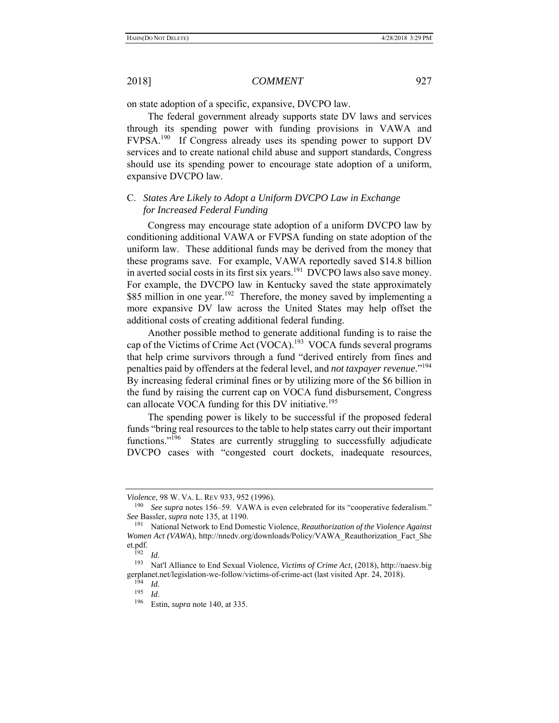on state adoption of a specific, expansive, DVCPO law.

The federal government already supports state DV laws and services through its spending power with funding provisions in VAWA and FVPSA.190 If Congress already uses its spending power to support DV services and to create national child abuse and support standards, Congress should use its spending power to encourage state adoption of a uniform, expansive DVCPO law.

# C. *States Are Likely to Adopt a Uniform DVCPO Law in Exchange for Increased Federal Funding*

Congress may encourage state adoption of a uniform DVCPO law by conditioning additional VAWA or FVPSA funding on state adoption of the uniform law. These additional funds may be derived from the money that these programs save. For example, VAWA reportedly saved \$14.8 billion in averted social costs in its first six years.<sup>191</sup> DVCPO laws also save money. For example, the DVCPO law in Kentucky saved the state approximately \$85 million in one year.<sup>192</sup> Therefore, the money saved by implementing a more expansive DV law across the United States may help offset the additional costs of creating additional federal funding.

Another possible method to generate additional funding is to raise the cap of the Victims of Crime Act (VOCA).<sup>193</sup> VOCA funds several programs that help crime survivors through a fund "derived entirely from fines and penalties paid by offenders at the federal level, and *not taxpayer revenue*."194 By increasing federal criminal fines or by utilizing more of the \$6 billion in the fund by raising the current cap on VOCA fund disbursement, Congress can allocate VOCA funding for this DV initiative.<sup>195</sup>

The spending power is likely to be successful if the proposed federal funds "bring real resources to the table to help states carry out their important functions."<sup>196</sup> States are currently struggling to successfully adjudicate DVCPO cases with "congested court dockets, inadequate resources,

*Violence*, 98 W. VA. L. REV 933, 952 (1996).

<sup>190</sup> *See supra* notes 156–59. VAWA is even celebrated for its "cooperative federalism." *See* Bassler, *supra* note 135, at 1190.

<sup>191</sup> National Network to End Domestic Violence, *Reauthorization of the Violence Against Women Act (VAWA*), http://nnedv.org/downloads/Policy/VAWA\_Reauthorization\_Fact\_She et.pdf.<br> $\frac{192}{192}$  Id.

<sup>&</sup>lt;sup>193</sup> Nat'l Alliance to End Sexual Violence, *Victims of Crime Act*, (2018), http://naesv.big gerplanet.net/legislation-we-follow/victims-of-crime-act (last visited Apr. 24, 2018).

 $\frac{194}{195}$  *Id.* 

<sup>195</sup>*Id*. 196 Estin, *supra* note 140, at 335.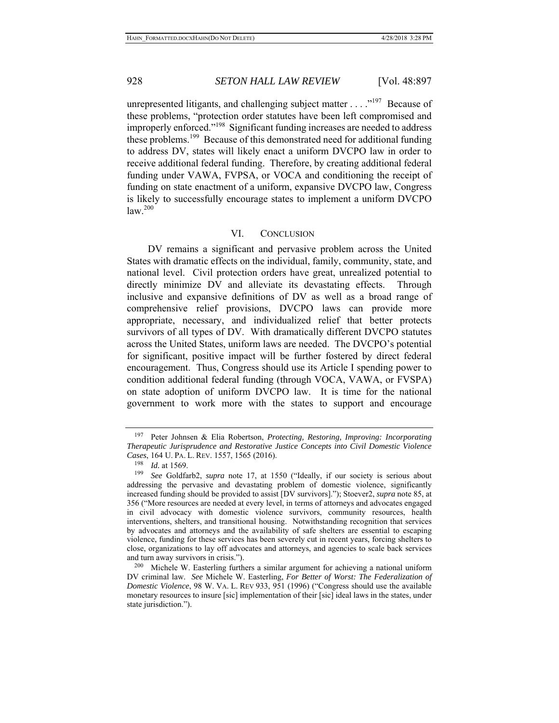unrepresented litigants, and challenging subject matter  $\dots$   $\mathbb{R}^{197}$  Because of these problems, "protection order statutes have been left compromised and improperly enforced."198 Significant funding increases are needed to address these problems.<sup>199</sup> Because of this demonstrated need for additional funding to address DV, states will likely enact a uniform DVCPO law in order to receive additional federal funding. Therefore, by creating additional federal funding under VAWA, FVPSA, or VOCA and conditioning the receipt of funding on state enactment of a uniform, expansive DVCPO law, Congress is likely to successfully encourage states to implement a uniform DVCPO  $law.<sup>200</sup>$ 

### VI. CONCLUSION

DV remains a significant and pervasive problem across the United States with dramatic effects on the individual, family, community, state, and national level. Civil protection orders have great, unrealized potential to directly minimize DV and alleviate its devastating effects. Through inclusive and expansive definitions of DV as well as a broad range of comprehensive relief provisions, DVCPO laws can provide more appropriate, necessary, and individualized relief that better protects survivors of all types of DV. With dramatically different DVCPO statutes across the United States, uniform laws are needed. The DVCPO's potential for significant, positive impact will be further fostered by direct federal encouragement. Thus, Congress should use its Article I spending power to condition additional federal funding (through VOCA, VAWA, or FVSPA) on state adoption of uniform DVCPO law. It is time for the national government to work more with the states to support and encourage

<sup>197</sup> Peter Johnsen & Elia Robertson, *Protecting, Restoring, Improving: Incorporating Therapeutic Jurisprudence and Restorative Justice Concepts into Civil Domestic Violence Cases*, 164 U. PA. L. REV. 1557, 1565 (2016).

<sup>198</sup> *Id.* at 1569.

<sup>199</sup> *See* Goldfarb2, *supra* note 17, at 1550 ("Ideally, if our society is serious about addressing the pervasive and devastating problem of domestic violence, significantly increased funding should be provided to assist [DV survivors]."); Stoever2, *supra* note 85, at 356 ("More resources are needed at every level, in terms of attorneys and advocates engaged in civil advocacy with domestic violence survivors, community resources, health interventions, shelters, and transitional housing. Notwithstanding recognition that services by advocates and attorneys and the availability of safe shelters are essential to escaping violence, funding for these services has been severely cut in recent years, forcing shelters to close, organizations to lay off advocates and attorneys, and agencies to scale back services and turn away survivors in crisis.").

<sup>&</sup>lt;sup>200</sup> Michele W. Easterling furthers a similar argument for achieving a national uniform DV criminal law. *See* Michele W. Easterling, *For Better of Worst: The Federalization of Domestic Violence*, 98 W. VA. L. REV 933, 951 (1996) ("Congress should use the available monetary resources to insure [sic] implementation of their [sic] ideal laws in the states, under state jurisdiction.").